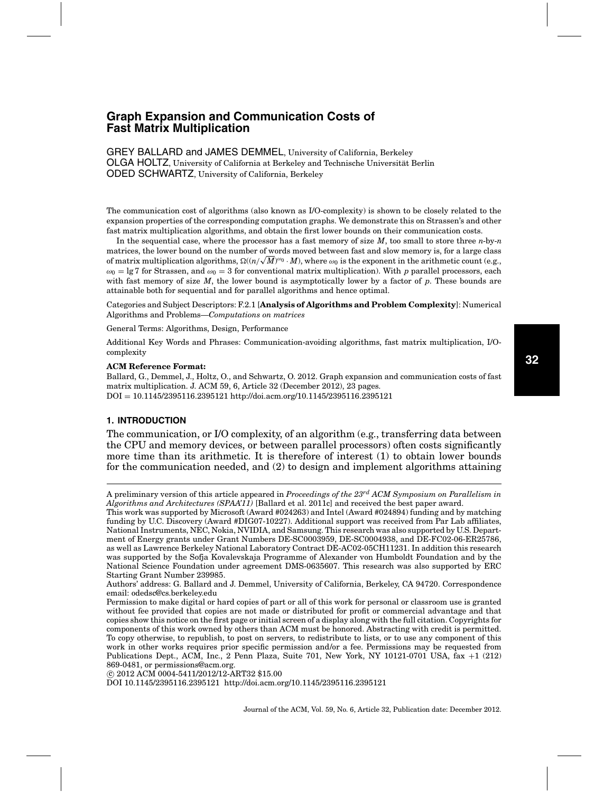GREY BALLARD and JAMES DEMMEL, University of California, Berkeley OLGA HOLTZ, University of California at Berkeley and Technische Universitat Berlin ¨ ODED SCHWARTZ, University of California, Berkeley

The communication cost of algorithms (also known as I/O-complexity) is shown to be closely related to the expansion properties of the corresponding computation graphs. We demonstrate this on Strassen's and other fast matrix multiplication algorithms, and obtain the first lower bounds on their communication costs.

In the sequential case, where the processor has a fast memory of size *M*, too small to store three *n*-by-*n* matrices, the lower bound on the number of words moved between fast and slow memory is, for a large class matrices, the lower bound on the number of words moved between last and slow memory is, for a large class<br>of matrix multiplication algorithms,  $\Omega((n/\sqrt{M})^{\omega_0}\cdot M)$ , where  $\omega_0$  is the exponent in the arithmetic count (e.  $\omega_0 = \lg 7$  for Strassen, and  $\omega_0 = 3$  for conventional matrix multiplication). With p parallel processors, each with fast memory of size *M*, the lower bound is asymptotically lower by a factor of *p*. These bounds are attainable both for sequential and for parallel algorithms and hence optimal.

Categories and Subject Descriptors: F.2.1 [**Analysis of Algorithms and Problem Complexity**]: Numerical Algorithms and Problems—*Computations on matrices*

General Terms: Algorithms, Design, Performance

Additional Key Words and Phrases: Communication-avoiding algorithms, fast matrix multiplication, I/Ocomplexity

#### **ACM Reference Format:**

Ballard, G., Demmel, J., Holtz, O., and Schwartz, O. 2012. Graph expansion and communication costs of fast matrix multiplication. J. ACM 59, 6, Article 32 (December 2012), 23 pages. DOI = 10.1145/2395116.2395121 http://doi.acm.org/10.1145/2395116.2395121

## **1. INTRODUCTION**

The communication, or I/O complexity, of an algorithm (e.g., transferring data between the CPU and memory devices, or between parallel processors) often costs significantly more time than its arithmetic. It is therefore of interest (1) to obtain lower bounds for the communication needed, and (2) to design and implement algorithms attaining

-c 2012 ACM 0004-5411/2012/12-ART32 \$15.00

A preliminary version of this article appeared in *Proceedings of the 23rd ACM Symposium on Parallelism in Algorithms and Architectures (SPAA'11)* [Ballard et al. 2011c] and received the best paper award.

This work was supported by Microsoft (Award #024263) and Intel (Award #024894) funding and by matching funding by U.C. Discovery (Award #DIG07-10227). Additional support was received from Par Lab affiliates, National Instruments, NEC, Nokia, NVIDIA, and Samsung. This research was also supported by U.S. Department of Energy grants under Grant Numbers DE-SC0003959, DE-SC0004938, and DE-FC02-06-ER25786, as well as Lawrence Berkeley National Laboratory Contract DE-AC02-05CH11231. In addition this research was supported by the Sofja Kovalevskaja Programme of Alexander von Humboldt Foundation and by the National Science Foundation under agreement DMS-0635607. This research was also supported by ERC Starting Grant Number 239985.

Authors' address: G. Ballard and J. Demmel, University of California, Berkeley, CA 94720. Correspondence email: odedsc@cs.berkeley.edu

Permission to make digital or hard copies of part or all of this work for personal or classroom use is granted without fee provided that copies are not made or distributed for profit or commercial advantage and that copies show this notice on the first page or initial screen of a display along with the full citation. Copyrights for components of this work owned by others than ACM must be honored. Abstracting with credit is permitted. To copy otherwise, to republish, to post on servers, to redistribute to lists, or to use any component of this work in other works requires prior specific permission and/or a fee. Permissions may be requested from Publications Dept., ACM, Inc., 2 Penn Plaza, Suite 701, New York, NY 10121-0701 USA, fax +1 (212) 869-0481, or permissions@acm.org.

DOI 10.1145/2395116.2395121 http://doi.acm.org/10.1145/2395116.2395121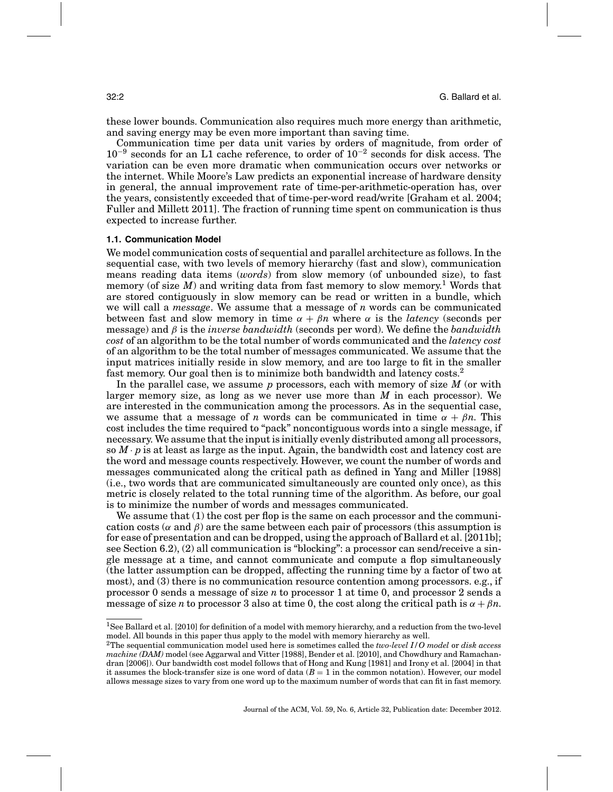these lower bounds. Communication also requires much more energy than arithmetic, and saving energy may be even more important than saving time.

Communication time per data unit varies by orders of magnitude, from order of 10<sup>−</sup><sup>9</sup> seconds for an L1 cache reference, to order of 10<sup>−</sup><sup>2</sup> seconds for disk access. The variation can be even more dramatic when communication occurs over networks or the internet. While Moore's Law predicts an exponential increase of hardware density in general, the annual improvement rate of time-per-arithmetic-operation has, over the years, consistently exceeded that of time-per-word read/write [Graham et al. 2004; Fuller and Millett 2011]. The fraction of running time spent on communication is thus expected to increase further.

#### **1.1. Communication Model**

We model communication costs of sequential and parallel architecture as follows. In the sequential case, with two levels of memory hierarchy (fast and slow), communication means reading data items (*words*) from slow memory (of unbounded size), to fast memory (of size  $M$ ) and writing data from fast memory to slow memory.<sup>1</sup> Words that are stored contiguously in slow memory can be read or written in a bundle, which we will call a *message*. We assume that a message of *n* words can be communicated between fast and slow memory in time  $\alpha + \beta n$  where  $\alpha$  is the *latency* (seconds per message) and β is the *inverse bandwidth* (seconds per word). We define the *bandwidth cost* of an algorithm to be the total number of words communicated and the *latency cost* of an algorithm to be the total number of messages communicated. We assume that the input matrices initially reside in slow memory, and are too large to fit in the smaller fast memory. Our goal then is to minimize both bandwidth and latency  $costs<sup>2</sup>$ .

In the parallel case, we assume *p* processors, each with memory of size *M* (or with larger memory size, as long as we never use more than *M* in each processor). We are interested in the communication among the processors. As in the sequential case, we assume that a message of *n* words can be communicated in time  $\alpha + \beta n$ . This cost includes the time required to "pack" noncontiguous words into a single message, if necessary. We assume that the input is initially evenly distributed among all processors, so  $M \cdot p$  is at least as large as the input. Again, the bandwidth cost and latency cost are the word and message counts respectively. However, we count the number of words and messages communicated along the critical path as defined in Yang and Miller [1988] (i.e., two words that are communicated simultaneously are counted only once), as this metric is closely related to the total running time of the algorithm. As before, our goal is to minimize the number of words and messages communicated.

We assume that (1) the cost per flop is the same on each processor and the communication costs ( $\alpha$  and  $\beta$ ) are the same between each pair of processors (this assumption is for ease of presentation and can be dropped, using the approach of Ballard et al. [2011b]; see Section 6.2), (2) all communication is "blocking": a processor can send/receive a single message at a time, and cannot communicate and compute a flop simultaneously (the latter assumption can be dropped, affecting the running time by a factor of two at most), and (3) there is no communication resource contention among processors. e.g., if processor 0 sends a message of size *n* to processor 1 at time 0, and processor 2 sends a message of size *n* to processor 3 also at time 0, the cost along the critical path is  $\alpha + \beta n$ .

<sup>1</sup>See Ballard et al. [2010] for definition of a model with memory hierarchy, and a reduction from the two-level model. All bounds in this paper thus apply to the model with memory hierarchy as well.

<sup>2</sup>The sequential communication model used here is sometimes called the *two-level I/O model* or *disk access machine (DAM)* model (see Aggarwal and Vitter [1988], Bender et al. [2010], and Chowdhury and Ramachandran [2006]). Our bandwidth cost model follows that of Hong and Kung [1981] and Irony et al. [2004] in that it assumes the block-transfer size is one word of data  $(B = 1)$  in the common notation). However, our model allows message sizes to vary from one word up to the maximum number of words that can fit in fast memory.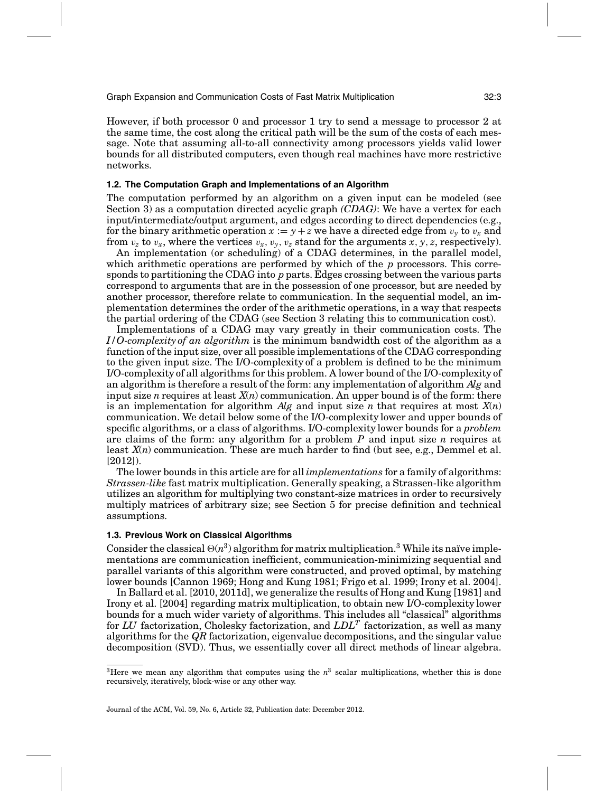However, if both processor 0 and processor 1 try to send a message to processor 2 at the same time, the cost along the critical path will be the sum of the costs of each message. Note that assuming all-to-all connectivity among processors yields valid lower bounds for all distributed computers, even though real machines have more restrictive networks.

#### **1.2. The Computation Graph and Implementations of an Algorithm**

The computation performed by an algorithm on a given input can be modeled (see Section 3) as a computation directed acyclic graph *(CDAG)*: We have a vertex for each input/intermediate/output argument, and edges according to direct dependencies (e.g., for the binary arithmetic operation  $x := y + z$  we have a directed edge from  $v_y$  to  $v_x$  and from  $v_z$  to  $v_x$ , where the vertices  $v_x$ ,  $v_y$ ,  $v_z$  stand for the arguments  $x$ ,  $y$ ,  $z$ , respectively).

An implementation (or scheduling) of a CDAG determines, in the parallel model, which arithmetic operations are performed by which of the *p* processors. This corresponds to partitioning the CDAG into *p* parts. Edges crossing between the various parts correspond to arguments that are in the possession of one processor, but are needed by another processor, therefore relate to communication. In the sequential model, an implementation determines the order of the arithmetic operations, in a way that respects the partial ordering of the CDAG (see Section 3 relating this to communication cost).

Implementations of a CDAG may vary greatly in their communication costs. The *I/O-complexity of an algorithm* is the minimum bandwidth cost of the algorithm as a function of the input size, over all possible implementations of the CDAG corresponding to the given input size. The I/O-complexity of a problem is defined to be the minimum I/O-complexity of all algorithms for this problem. A lower bound of the I/O-complexity of an algorithm is therefore a result of the form: any implementation of algorithm *Alg* and input size *n* requires at least *X*(*n*) communication. An upper bound is of the form: there is an implementation for algorithm *Alg* and input size *n* that requires at most *X*(*n*) communication. We detail below some of the I/O-complexity lower and upper bounds of specific algorithms, or a class of algorithms. I/O-complexity lower bounds for a *problem* are claims of the form: any algorithm for a problem *P* and input size *n* requires at least *X*(*n*) communication. These are much harder to find (but see, e.g., Demmel et al. [2012]).

The lower bounds in this article are for all *implementations* for a family of algorithms: *Strassen-like* fast matrix multiplication. Generally speaking, a Strassen-like algorithm utilizes an algorithm for multiplying two constant-size matrices in order to recursively multiply matrices of arbitrary size; see Section 5 for precise definition and technical assumptions.

### **1.3. Previous Work on Classical Algorithms**

Consider the classical  $\Theta(n^3)$  algorithm for matrix multiplication.<sup>3</sup> While its naïve implementations are communication inefficient, communication-minimizing sequential and parallel variants of this algorithm were constructed, and proved optimal, by matching lower bounds [Cannon 1969; Hong and Kung 1981; Frigo et al. 1999; Irony et al. 2004].

In Ballard et al. [2010, 2011d], we generalize the results of Hong and Kung [1981] and Irony et al. [2004] regarding matrix multiplication, to obtain new I/O-complexity lower bounds for a much wider variety of algorithms. This includes all "classical" algorithms for *LU* factorization, Cholesky factorization, and *LDLT* factorization, as well as many algorithms for the *QR* factorization, eigenvalue decompositions, and the singular value decomposition (SVD). Thus, we essentially cover all direct methods of linear algebra.

<sup>&</sup>lt;sup>3</sup>Here we mean any algorithm that computes using the  $n<sup>3</sup>$  scalar multiplications, whether this is done recursively, iteratively, block-wise or any other way.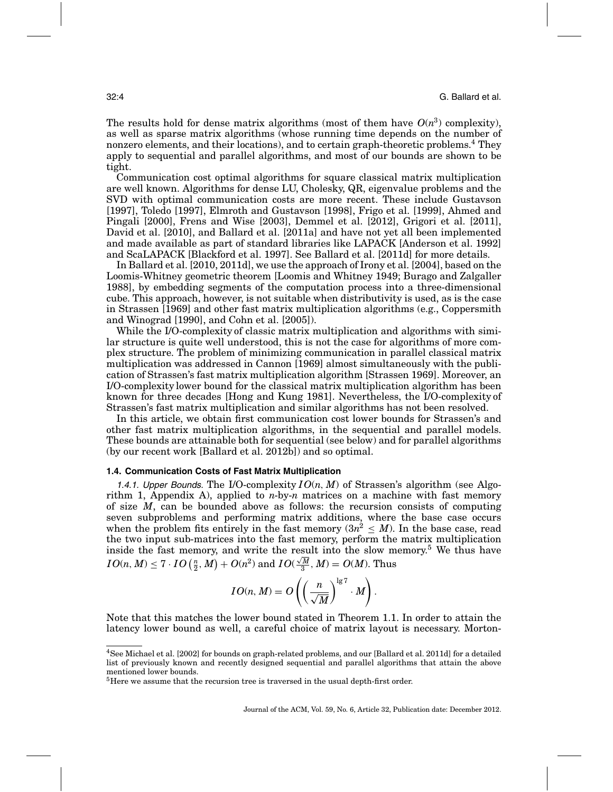The results hold for dense matrix algorithms (most of them have  $O(n^3)$  complexity), as well as sparse matrix algorithms (whose running time depends on the number of nonzero elements, and their locations), and to certain graph-theoretic problems.<sup>4</sup> They apply to sequential and parallel algorithms, and most of our bounds are shown to be tight.

Communication cost optimal algorithms for square classical matrix multiplication are well known. Algorithms for dense LU, Cholesky, QR, eigenvalue problems and the SVD with optimal communication costs are more recent. These include Gustavson [1997], Toledo [1997], Elmroth and Gustavson [1998], Frigo et al. [1999], Ahmed and Pingali [2000], Frens and Wise [2003], Demmel et al. [2012], Grigori et al. [2011], David et al. [2010], and Ballard et al. [2011a] and have not yet all been implemented and made available as part of standard libraries like LAPACK [Anderson et al. 1992] and ScaLAPACK [Blackford et al. 1997]. See Ballard et al. [2011d] for more details.

In Ballard et al. [2010, 2011d], we use the approach of Irony et al. [2004], based on the Loomis-Whitney geometric theorem [Loomis and Whitney 1949; Burago and Zalgaller 1988], by embedding segments of the computation process into a three-dimensional cube. This approach, however, is not suitable when distributivity is used, as is the case in Strassen [1969] and other fast matrix multiplication algorithms (e.g., Coppersmith and Winograd [1990], and Cohn et al. [2005]).

While the I/O-complexity of classic matrix multiplication and algorithms with similar structure is quite well understood, this is not the case for algorithms of more complex structure. The problem of minimizing communication in parallel classical matrix multiplication was addressed in Cannon [1969] almost simultaneously with the publication of Strassen's fast matrix multiplication algorithm [Strassen 1969]. Moreover, an I/O-complexity lower bound for the classical matrix multiplication algorithm has been known for three decades [Hong and Kung 1981]. Nevertheless, the I/O-complexity of Strassen's fast matrix multiplication and similar algorithms has not been resolved.

In this article, we obtain first communication cost lower bounds for Strassen's and other fast matrix multiplication algorithms, in the sequential and parallel models. These bounds are attainable both for sequential (see below) and for parallel algorithms (by our recent work [Ballard et al. 2012b]) and so optimal.

## **1.4. Communication Costs of Fast Matrix Multiplication**

1.4.1. Upper Bounds. The I/O-complexity  $I O(n, M)$  of Strassen's algorithm (see Algorithm 1, Appendix A), applied to *n*-by-*n* matrices on a machine with fast memory of size *M*, can be bounded above as follows: the recursion consists of computing seven subproblems and performing matrix additions, where the base case occurs when the problem fits entirely in the fast memory  $(3n^2 \leq M)$ . In the base case, read the two input sub-matrices into the fast memory, perform the matrix multiplication inside the fast memory, and write the result into the slow memory.<sup>5</sup> We thus have  $I$ *O*(*n*, *M*)  $\leq$  7 · *IO* ( $\frac{n}{2}$ , *M*) + *O*(*n*<sup>2</sup>) and *IO*( $\frac{\sqrt{M}}{3}$ , *M*) = *O*(*M*). Thus

$$
IO(n, M) = O\left(\left(\frac{n}{\sqrt{M}}\right)^{\lg 7} \cdot M\right).
$$

Note that this matches the lower bound stated in Theorem 1.1. In order to attain the latency lower bound as well, a careful choice of matrix layout is necessary. Morton-

<sup>4</sup>See Michael et al. [2002] for bounds on graph-related problems, and our [Ballard et al. 2011d] for a detailed list of previously known and recently designed sequential and parallel algorithms that attain the above mentioned lower bounds.

<sup>&</sup>lt;sup>5</sup>Here we assume that the recursion tree is traversed in the usual depth-first order.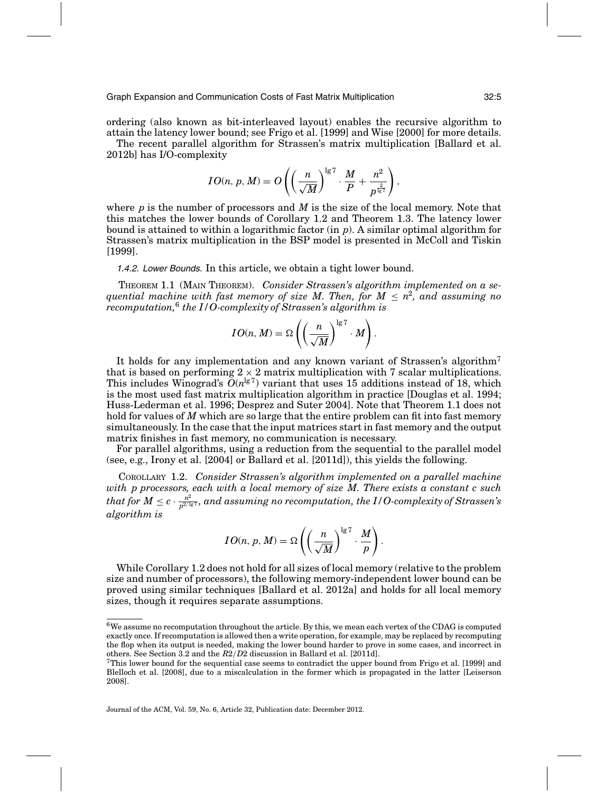ordering (also known as bit-interleaved layout) enables the recursive algorithm to attain the latency lower bound; see Frigo et al. [1999] and Wise [2000] for more details.

The recent parallel algorithm for Strassen's matrix multiplication [Ballard et al. 2012b] has I/O-complexity

$$
IO(n,p,M) = O\left( \left(\frac{n}{\sqrt{M}}\right)^{\lg 7} \cdot \frac{M}{P} + \frac{n^2}{p^{\frac{2}{\lg 7}}} \right),\,
$$

where *p* is the number of processors and *M* is the size of the local memory. Note that this matches the lower bounds of Corollary 1.2 and Theorem 1.3. The latency lower bound is attained to within a logarithmic factor (in *p*). A similar optimal algorithm for Strassen's matrix multiplication in the BSP model is presented in McColl and Tiskin [1999].

1.4.2. Lower Bounds. In this article, we obtain a tight lower bound.

THEOREM 1.1 (MAIN THEOREM). *Consider Strassen's algorithm implemented on a sequential machine with fast memory of size M. Then, for*  $M \leq n^2$ *, and assuming no recomputation,*<sup>6</sup> *the I/O-complexity of Strassen's algorithm is*

$$
IO(n, M) = \Omega \left( \left( \frac{n}{\sqrt{M}} \right)^{\lg 7} \cdot M \right).
$$

It holds for any implementation and any known variant of Strassen's algorithm<sup>7</sup> that is based on performing  $2 \times 2$  matrix multiplication with 7 scalar multiplications. This includes Winograd's  $\bar{O}(n^{\lg 7})$  variant that uses 15 additions instead of 18, which is the most used fast matrix multiplication algorithm in practice [Douglas et al. 1994; Huss-Lederman et al. 1996; Desprez and Suter 2004]. Note that Theorem 1.1 does not hold for values of *M* which are so large that the entire problem can fit into fast memory simultaneously. In the case that the input matrices start in fast memory and the output matrix finishes in fast memory, no communication is necessary.

For parallel algorithms, using a reduction from the sequential to the parallel model (see, e.g., Irony et al. [2004] or Ballard et al. [2011d]), this yields the following.

COROLLARY 1.2. *Consider Strassen's algorithm implemented on a parallel machine with p processors, each with a local memory of size M. There exists a constant c such*  $that$  for  $M \leq c \cdot \frac{n^2}{p^{2/1g^+}}$ , and assuming no recomputation, the  $I/O$ -complexity of Strassen's *algorithm is*

$$
IO(n, p, M) = \Omega \left( \left( \frac{n}{\sqrt{M}} \right)^{\lg 7} \cdot \frac{M}{p} \right).
$$

While Corollary 1.2 does not hold for all sizes of local memory (relative to the problem size and number of processors), the following memory-independent lower bound can be proved using similar techniques [Ballard et al. 2012a] and holds for all local memory sizes, though it requires separate assumptions.

 $6W$ e assume no recomputation throughout the article. By this, we mean each vertex of the CDAG is computed exactly once. If recomputation is allowed then a write operation, for example, may be replaced by recomputing the flop when its output is needed, making the lower bound harder to prove in some cases, and incorrect in others. See Section 3.2 and the *R*2/*D*2 discussion in Ballard et al. [2011d].

 $7$ This lower bound for the sequential case seems to contradict the upper bound from Frigo et al. [1999] and Blelloch et al. [2008], due to a miscalculation in the former which is propagated in the latter [Leiserson 2008].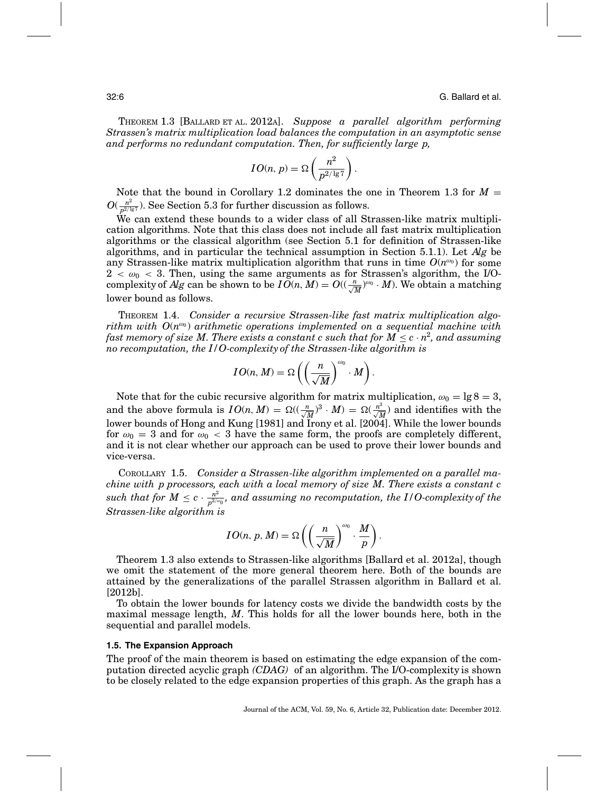THEOREM 1.3 [BALLARD ET AL. 2012A]. *Suppose a parallel algorithm performing Strassen's matrix multiplication load balances the computation in an asymptotic sense and performs no redundant computation. Then, for sufficiently large p,*

$$
IO(n, p) = \Omega\left(\frac{n^2}{p^{2/\lg 7}}\right).
$$

Note that the bound in Corollary 1.2 dominates the one in Theorem 1.3 for  $M =$  $O(\frac{n^2}{p^{2/ \lg 7}})$ . See Section 5.3 for further discussion as follows.

We can extend these bounds to a wider class of all Strassen-like matrix multiplication algorithms. Note that this class does not include all fast matrix multiplication algorithms or the classical algorithm (see Section 5.1 for definition of Strassen-like algorithms, and in particular the technical assumption in Section 5.1.1). Let *Alg* be any Strassen-like matrix multiplication algorithm that runs in time  $O(n^{\omega_0})$  for some  $2 < \omega_0 < 3$ . Then, using the same arguments as for Strassen's algorithm, the I/Ocomplexity of Alg can be shown to be  $I\breve{O}(n, M) = O((\frac{n}{\sqrt{M}})^{\omega_0} \cdot M)$ . We obtain a matching lower bound as follows.

THEOREM 1.4. *Consider a recursive Strassen-like fast matrix multiplication algorithm with*  $O(n^{\omega_0})$  *arithmetic operations implemented on a sequential machine with fast memory of size M. There exists a constant c such that for*  $M \leq c \cdot n^2$ *, and assuming no recomputation, the I/O-complexity of the Strassen-like algorithm is*

$$
IO(n, M) = \Omega\left(\left(\frac{n}{\sqrt{M}}\right)^{\omega_0} \cdot M\right).
$$

Note that for the cubic recursive algorithm for matrix multiplication,  $\omega_0 = \lg 8 = 3$ , and the above formula is  $IO(n, M) = \Omega((\frac{n}{\sqrt{M}})^3 \cdot M) = \Omega(\frac{n^3}{\sqrt{M}})$  and identifies with the lower bounds of Hong and Kung [1981] and Irony et al. [2004]. While the lower bounds for  $\omega_0 = 3$  and for  $\omega_0 < 3$  have the same form, the proofs are completely different, and it is not clear whether our approach can be used to prove their lower bounds and vice-versa.

COROLLARY 1.5. *Consider a Strassen-like algorithm implemented on a parallel machine with p processors, each with a local memory of size M. There exists a constant c*  $such~that~for~M \leq c \cdot \frac{n^2}{p^{2/\omega_0}},~and~assuming~no~recomputation,~the~I/O-complexity~of~the~f$ *Strassen-like algorithm is*

$$
IO(n, p, M) = \Omega \left( \left( \frac{n}{\sqrt{M}} \right)^{\omega_0} \cdot \frac{M}{p} \right).
$$

Theorem 1.3 also extends to Strassen-like algorithms [Ballard et al. 2012a], though we omit the statement of the more general theorem here. Both of the bounds are attained by the generalizations of the parallel Strassen algorithm in Ballard et al. [2012b].

To obtain the lower bounds for latency costs we divide the bandwidth costs by the maximal message length, *M*. This holds for all the lower bounds here, both in the sequential and parallel models.

#### **1.5. The Expansion Approach**

The proof of the main theorem is based on estimating the edge expansion of the computation directed acyclic graph *(CDAG)* of an algorithm. The I/O-complexity is shown to be closely related to the edge expansion properties of this graph. As the graph has a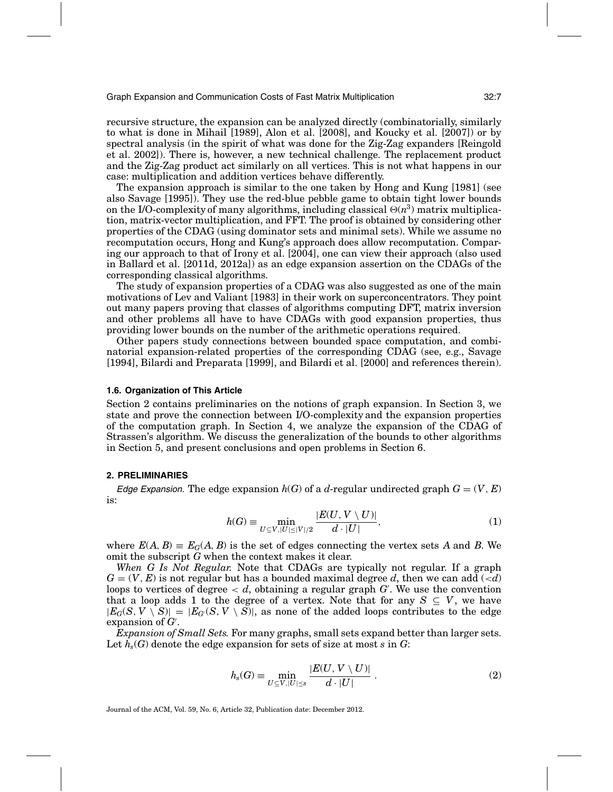recursive structure, the expansion can be analyzed directly (combinatorially, similarly to what is done in Mihail [1989], Alon et al. [2008], and Koucky et al. [2007]) or by spectral analysis (in the spirit of what was done for the Zig-Zag expanders [Reingold et al. 2002]). There is, however, a new technical challenge. The replacement product and the Zig-Zag product act similarly on all vertices. This is not what happens in our case: multiplication and addition vertices behave differently.

The expansion approach is similar to the one taken by Hong and Kung [1981] (see also Savage [1995]). They use the red-blue pebble game to obtain tight lower bounds on the I/O-complexity of many algorithms, including classical  $\Theta(n^3)$  matrix multiplication, matrix-vector multiplication, and FFT. The proof is obtained by considering other properties of the CDAG (using dominator sets and minimal sets). While we assume no recomputation occurs, Hong and Kung's approach does allow recomputation. Comparing our approach to that of Irony et al. [2004], one can view their approach (also used in Ballard et al. [2011d, 2012a]) as an edge expansion assertion on the CDAGs of the corresponding classical algorithms.

The study of expansion properties of a CDAG was also suggested as one of the main motivations of Lev and Valiant [1983] in their work on superconcentrators. They point out many papers proving that classes of algorithms computing DFT, matrix inversion and other problems all have to have CDAGs with good expansion properties, thus providing lower bounds on the number of the arithmetic operations required.

Other papers study connections between bounded space computation, and combinatorial expansion-related properties of the corresponding CDAG (see, e.g., Savage [1994], Bilardi and Preparata [1999], and Bilardi et al. [2000] and references therein).

#### **1.6. Organization of This Article**

Section 2 contains preliminaries on the notions of graph expansion. In Section 3, we state and prove the connection between I/O-complexity and the expansion properties of the computation graph. In Section 4, we analyze the expansion of the CDAG of Strassen's algorithm. We discuss the generalization of the bounds to other algorithms in Section 5, and present conclusions and open problems in Section 6.

### **2. PRELIMINARIES**

Edge Expansion. The edge expansion  $h(G)$  of a *d*-regular undirected graph  $G = (V, E)$ is:

$$
h(G) \equiv \min_{U \subseteq V, |U| \le |V|/2} \frac{|E(U, V \setminus U)|}{d \cdot |U|},\tag{1}
$$

where  $E(A, B) \equiv E_G(A, B)$  is the set of edges connecting the vertex sets A and B. We omit the subscript *G* when the context makes it clear.

*When G Is Not Regular.* Note that CDAGs are typically not regular. If a graph  $G = (V, E)$  is not regular but has a bounded maximal degree *d*, then we can add  $(\le d)$ loops to vertices of degree < *d*, obtaining a regular graph *G* . We use the convention that a loop adds 1 to the degree of a vertex. Note that for any  $S \subseteq V$ , we have  $|E_G(S, V \setminus S)| = |E_G(S, V \setminus S)|$ , as none of the added loops contributes to the edge expansion of *G* .

*Expansion of Small Sets.* For many graphs, small sets expand better than larger sets. Let  $h_s(G)$  denote the edge expansion for sets of size at most *s* in *G*:

$$
h_s(G) \equiv \min_{U \subseteq V, |U| \le s} \frac{|E(U, V \setminus U)|}{d \cdot |U|} \ . \tag{2}
$$

Journal of the ACM, Vol. 59, No. 6, Article 32, Publication date: December 2012.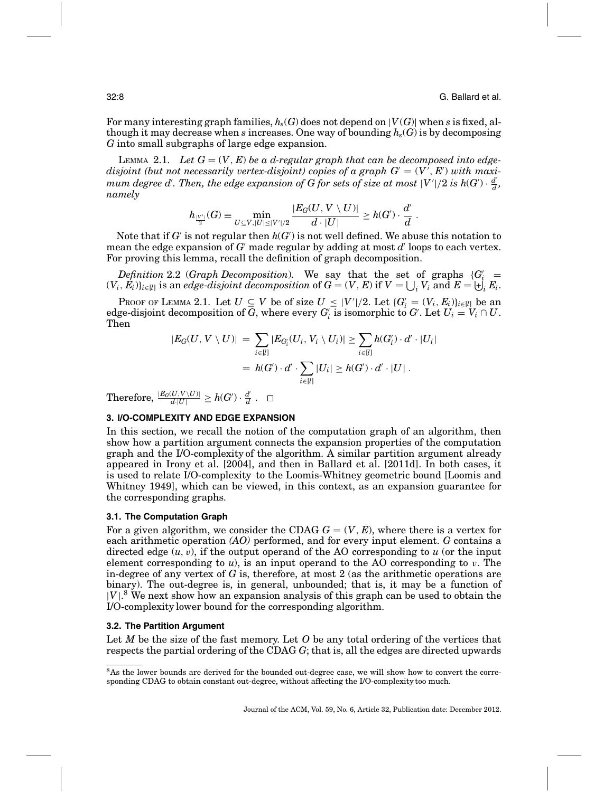For many interesting graph families,  $h_s(G)$  does not depend on  $|V(G)|$  when *s* is fixed, although it may decrease when *s* increases. One way of bounding  $h_s(G)$  is by decomposing *G* into small subgraphs of large edge expansion.

LEMMA 2.1. Let  $G = (V, E)$  be a d-regular graph that can be decomposed into edge $disjoint$  (but not necessarily vertex-disjoint) copies of a graph  $G = (V^\tau, E^\tau)$  with maxi $m$ um degree  $d'$ . Then, the edge expansion of  $G$  for sets of size at most  $|V'|/2$  is  $h(G') \cdot \frac{d'}{d}$ , *namely*

$$
h_{\frac{|V'|}{2}}(G) \equiv \min_{U \subseteq V, |U| \leq |V'|/2} \frac{|E_G(U,V \setminus U)|}{d \cdot |U|} \geq h(G') \cdot \frac{d'}{d} \; .
$$

Note that if  $G'$  is not regular then  $h(G')$  is not well defined. We abuse this notation to mean the edge expansion of  $G'$  made regular by adding at most  $d'$  loops to each vertex. For proving this lemma, recall the definition of graph decomposition.

*Definition* 2.2 (*Graph Decomposition*). We say that the set of graphs  ${G_i' =$  $(V_i, E_i) \}_{i \in [l]}$  is an *edge-disjoint decomposition* of  $G = (V, E)$  if  $V = \bigcup_i V_i$  and  $E = \biguplus_i E_i$ .

PROOF OF LEMMA 2.1. Let  $U \subseteq V$  be of size  $U \subseteq |V'|/2$ . Let  $\{G'_i = (V_i, E_i)\}_{i \in [l]}$  be an edge-disjoint decomposition of *G*, where every  $G_i'$  is isomorphic to  $G'$ . Let  $U_i = V_i \cap U$ . Then

$$
|E_G(U, V \setminus U)| = \sum_{i \in [l]} |E_{G'_i}(U_i, V_i \setminus U_i)| \ge \sum_{i \in [l]} h(G'_i) \cdot d' \cdot |U_i|
$$
  
=  $h(G') \cdot d' \cdot \sum_{i \in [l]} |U_i| \ge h(G') \cdot d' \cdot |U|$ .

 $\text{Therefore, } \frac{|E_G(U,V \setminus U)|}{d \cdot |U|} \ge h(G') \cdot \frac{d'}{d} \;.$ 

# **3. I/O-COMPLEXITY AND EDGE EXPANSION**

In this section, we recall the notion of the computation graph of an algorithm, then show how a partition argument connects the expansion properties of the computation graph and the I/O-complexity of the algorithm. A similar partition argument already appeared in Irony et al. [2004], and then in Ballard et al. [2011d]. In both cases, it is used to relate I/O-complexity to the Loomis-Whitney geometric bound [Loomis and Whitney 1949], which can be viewed, in this context, as an expansion guarantee for the corresponding graphs.

#### **3.1. The Computation Graph**

For a given algorithm, we consider the CDAG  $G = (V, E)$ , where there is a vertex for each arithmetic operation *(AO)* performed, and for every input element. *G* contains a directed edge (*u*, v), if the output operand of the AO corresponding to *u* (or the input element corresponding to  $u$ ), is an input operand to the AO corresponding to  $v$ . The in-degree of any vertex of *G* is, therefore, at most 2 (as the arithmetic operations are binary). The out-degree is, in general, unbounded; that is, it may be a function of  $|V|^8$  We next show how an expansion analysis of this graph can be used to obtain the I/O-complexity lower bound for the corresponding algorithm.

#### **3.2. The Partition Argument**

Let *M* be the size of the fast memory. Let *O* be any total ordering of the vertices that respects the partial ordering of the CDAG *G*; that is, all the edges are directed upwards

<sup>&</sup>lt;sup>8</sup>As the lower bounds are derived for the bounded out-degree case, we will show how to convert the corresponding CDAG to obtain constant out-degree, without affecting the I/O-complexity too much.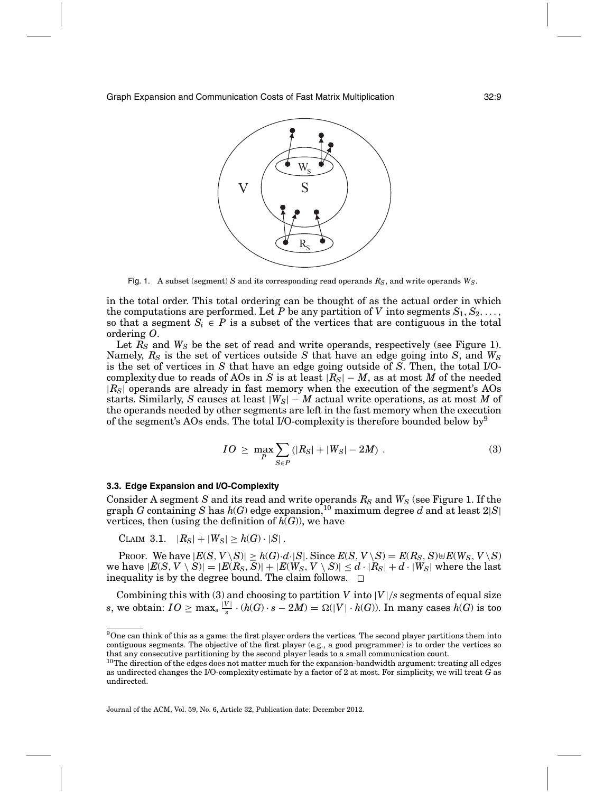

Fig. 1. A subset (segment) *S* and its corresponding read operands *RS*, and write operands *WS*.

in the total order. This total ordering can be thought of as the actual order in which the computations are performed. Let *P* be any partition of *V* into segments  $S_1, S_2, \ldots$ , so that a segment  $S_i \in P$  is a subset of the vertices that are contiguous in the total ordering *O*.

Let  $R_S$  and  $W_S$  be the set of read and write operands, respectively (see Figure 1). Namely, *RS* is the set of vertices outside *S* that have an edge going into *S*, and *WS* is the set of vertices in *S* that have an edge going outside of *S*. Then, the total I/Ocomplexity due to reads of AOs in *S* is at least  $|R_S| - M$ , as at most *M* of the needed |*RS*| operands are already in fast memory when the execution of the segment's AOs starts. Similarly, *S* causes at least |*WS*| − *M* actual write operations, as at most *M* of the operands needed by other segments are left in the fast memory when the execution of the segment's AOs ends. The total I/O-complexity is therefore bounded below by  $9$ 

$$
IO \geq \max_{P} \sum_{S \in P} (|R_S| + |W_S| - 2M) \tag{3}
$$

#### **3.3. Edge Expansion and I/O-Complexity**

Consider A segment *S* and its read and write operands  $R<sub>S</sub>$  and  $W<sub>S</sub>$  (see Figure 1. If the graph *G* containing *S* has  $h(G)$  edge expansion,<sup>10</sup> maximum degree *d* and at least  $2|S|$ vertices, then (using the definition of  $h(G)$ ), we have

CLAIM 3.1.  $|R_S| + |W_S| \ge h(G) \cdot |S|$ .

 $P$ ROOF. We have  $|E(S, V \setminus S)| \ge h(G) \cdot d \cdot |S|$ . Since  $E(S, V \setminus S) = E(R_S, S) \uplus E(W_S, V \setminus S)$ we have  $|E(S, V \setminus S)| = |E(R_S, \overline{S})| + |E(W_S, V \setminus S)| \le d \cdot |R_S| + d \cdot |W_S|$  where the last inequality is by the degree bound. The claim follows.  $\Box$ 

Combining this with (3) and choosing to partition  $V$  into  $|V|/s$  segments of equal size *s*, we obtain:  $IO \ge \max_s \frac{|V|}{s} \cdot (h(G) \cdot s - 2M) = \Omega(|V| \cdot h(G))$ . In many cases  $h(G)$  is too

Journal of the ACM, Vol. 59, No. 6, Article 32, Publication date: December 2012.

 $9$ One can think of this as a game: the first player orders the vertices. The second player partitions them into contiguous segments. The objective of the first player (e.g., a good programmer) is to order the vertices so that any consecutive partitioning by the second player leads to a small communication count.

 $10$ The direction of the edges does not matter much for the expansion-bandwidth argument: treating all edges as undirected changes the I/O-complexity estimate by a factor of 2 at most. For simplicity, we will treat *G* as undirected.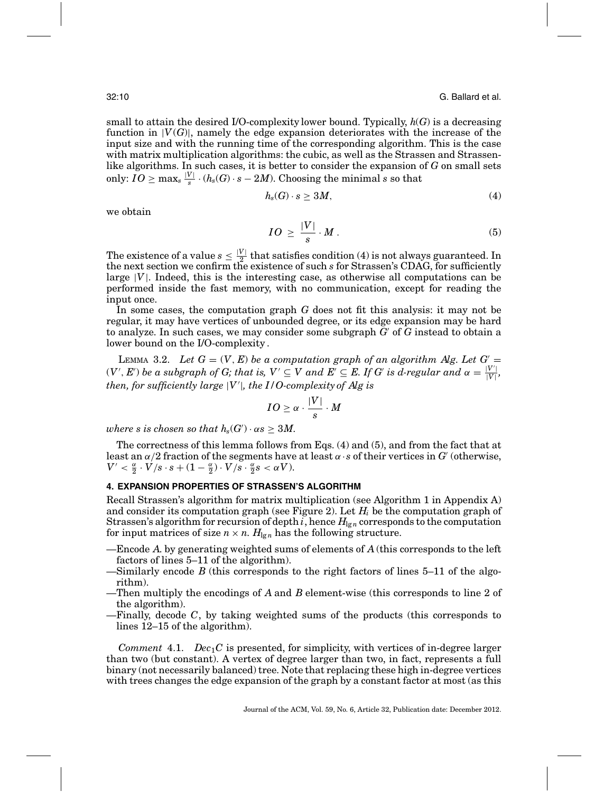small to attain the desired I/O-complexity lower bound. Typically, *h*(*G*) is a decreasing function in  $|V(G)|$ , namely the edge expansion deteriorates with the increase of the input size and with the running time of the corresponding algorithm. This is the case with matrix multiplication algorithms: the cubic, as well as the Strassen and Strassenlike algorithms. In such cases, it is better to consider the expansion of *G* on small sets only:  $IO \geq \max_s \frac{|V|}{s} \cdot (h_{s}(G) \cdot s - 2M)$ . Choosing the minimal  $s$  so that

$$
h_s(G) \cdot s \ge 3M,\tag{4}
$$

we obtain

$$
IO \geq \frac{|V|}{s} \cdot M \,.
$$

The existence of a value  $s \leq \frac{|V|}{r^2}$  that satisfies condition (4) is not always guaranteed. In the next section we confirm the existence of such *s* for Strassen's CDAG, for sufficiently large  $|V|$ . Indeed, this is the interesting case, as otherwise all computations can be performed inside the fast memory, with no communication, except for reading the input once.

In some cases, the computation graph *G* does not fit this analysis: it may not be regular, it may have vertices of unbounded degree, or its edge expansion may be hard to analyze. In such cases, we may consider some subgraph  $G'$  of  $G$  instead to obtain a lower bound on the I/O-complexity .

LEMMA 3.2. Let  $G = (V, E)$  be a computation graph of an algorithm Alg. Let  $G' =$  $(V', E')$  be a subgraph of G; that is,  $V' \subseteq V$  and  $E' \subseteq E$ . If G' is d-regular and  $\alpha = \frac{|V'|}{|V|}$ , *then, for sufficiently large* |*V* |*, the I/O-complexity of Alg is*

$$
IO \geq \alpha \cdot \frac{|V|}{s} \cdot M
$$

*where s is chosen so that*  $h_s(G') \cdot \alpha s \geq 3M$ .

The correctness of this lemma follows from Eqs. (4) and (5), and from the fact that at least an  $\alpha/2$  fraction of the segments have at least  $\alpha \cdot s$  of their vertices in *G'* (otherwise,  $V' < \frac{\alpha}{2} \cdot V / s \cdot s + (1 - \frac{\alpha}{2}) \cdot V / s \cdot \frac{\alpha}{2} s < \alpha V$ ).

#### **4. EXPANSION PROPERTIES OF STRASSEN'S ALGORITHM**

Recall Strassen's algorithm for matrix multiplication (see Algorithm 1 in Appendix A) and consider its computation graph (see Figure 2). Let  $H<sub>i</sub>$  be the computation graph of Strassen's algorithm for recursion of depth *i*, hence  $H_{\text{Ig}n}$  corresponds to the computation for input matrices of size  $n \times n$ .  $H_{\lg n}$  has the following structure.

- —Encode *A*. by generating weighted sums of elements of *A* (this corresponds to the left factors of lines 5–11 of the algorithm).
- —Similarly encode *B* (this corresponds to the right factors of lines 5–11 of the algorithm).
- —Then multiply the encodings of *A* and *B* element-wise (this corresponds to line 2 of the algorithm).
- —Finally, decode *C*, by taking weighted sums of the products (this corresponds to lines 12–15 of the algorithm).

*Comment* 4.1.  $Dec_1C$  is presented, for simplicity, with vertices of in-degree larger than two (but constant). A vertex of degree larger than two, in fact, represents a full binary (not necessarily balanced) tree. Note that replacing these high in-degree vertices with trees changes the edge expansion of the graph by a constant factor at most (as this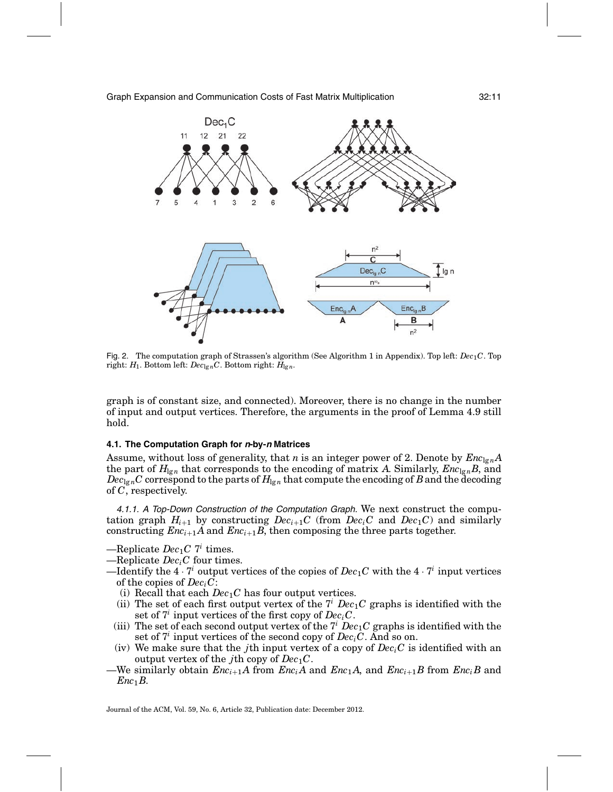

Fig. 2. The computation graph of Strassen's algorithm (See Algorithm 1 in Appendix). Top left: *Dec*<sub>1</sub>*C*. Top right:  $H_1$ . Bottom left:  $Dec_{\lg n}C$ . Bottom right:  $H_{\lg n}$ .

graph is of constant size, and connected). Moreover, there is no change in the number of input and output vertices. Therefore, the arguments in the proof of Lemma 4.9 still hold.

#### **4.1. The Computation Graph for <sup>n</sup>-by-<sup>n</sup> Matrices**

Assume, without loss of generality, that *n* is an integer power of 2. Denote by  $Enc_{\text{I}en}A$ the part of  $H_{\text{Ig}n}$  that corresponds to the encoding of matrix *A*. Similarly,  $Enc_{\text{Ig}n}B$ , and  $Dec_{\lg n}C$  correspond to the parts of  $H_{\lg n}$  that compute the encoding of *B* and the decoding of *C*, respectively.

4.1.1. <sup>A</sup> Top-Down Construction of the Computation Graph. We next construct the computation graph  $H_{i+1}$  by constructing  $Dec_{i+1}C$  (from  $Dec_{i}C$  and  $Dec_{i}C$ ) and similarly constructing  $Enc_{i+1}A$  and  $Enc_{i+1}B$ , then composing the three parts together.

 $-\text{Replace } Dec_1C$  *7<sup>i</sup>* times.

 $-$ Replicate *Dec<sub>i</sub>C* four times.

- —Identify the  $4 \cdot 7^i$  output vertices of the copies of  $Dec_1C$  with the  $4 \cdot 7^i$  input vertices of the copies of *DeciC*:
	- (i) Recall that each  $Dec_1C$  has four output vertices.
	- (ii) The set of each first output vertex of the  $7<sup>i</sup>$  *Dec*<sub>1</sub>*C* graphs is identified with the set of  $7<sup>i</sup>$  input vertices of the first copy of  $Dec<sub>i</sub>C$ .
	- (iii) The set of each second output vertex of the  $7<sup>i</sup>$  *Dec*<sub>1</sub>*C* graphs is identified with the set of  $7<sup>i</sup>$  input vertices of the second copy of  $Dec<sub>i</sub>C$ . And so on.
	- (iv) We make sure that the *j*th input vertex of a copy of  $Dec<sub>i</sub>C$  is identified with an output vertex of the *j*th copy of  $Dec_1C$ .
- $-$ We similarly obtain  $Enc_{i+1}A$  from  $Enc_iA$  and  $Enc_{i}A$ , and  $Enc_{i+1}B$  from  $Enc_iB$  and *Enc*1*B*.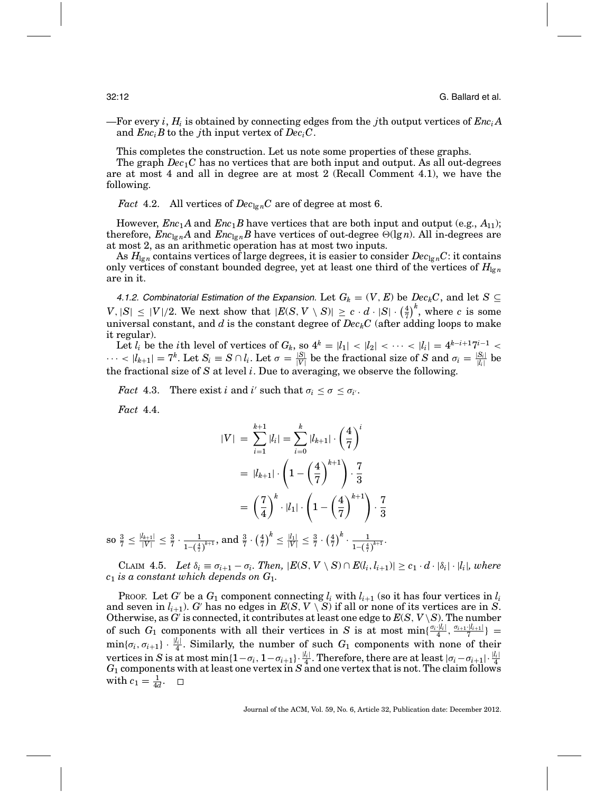—For every *i*,  $H_i$  is obtained by connecting edges from the *j*th output vertices of  $Enc<sub>i</sub>A$ and  $Enc<sub>i</sub>B$  to the *j*th input vertex of  $Dec<sub>i</sub>C$ .

This completes the construction. Let us note some properties of these graphs.

The graph *Dec*1*C* has no vertices that are both input and output. As all out-degrees are at most 4 and all in degree are at most 2 (Recall Comment 4.1), we have the following.

*Fact* 4.2. All vertices of  $Dec_{\lg n}C$  are of degree at most 6.

However,  $Enc_1A$  and  $Enc_1B$  have vertices that are both input and output (e.g.,  $A_{11}$ ); therefore,  $Enc_{\lg n}A$  and  $Enc_{\lg n}B$  have vertices of out-degree  $\Theta(\lg n)$ . All in-degrees are at most 2, as an arithmetic operation has at most two inputs.

As  $H_{\lg n}$  contains vertices of large degrees, it is easier to consider  $Dec_{\lg n}C$ : it contains only vertices of constant bounded degree, yet at least one third of the vertices of  $H_{\lg n}$ are in it.

4.1.2. Combinatorial Estimation of the Expansion. Let  $G_k = (V, E)$  be  $Dec_kC$ , and let  $S \subseteq$  $V, |S| \leq |V|/2$ . We next show that  $|E(S, V \setminus S)| \geq c \cdot d \cdot |S| \cdot \left(\frac{4}{7}\right)^k$ , where *c* is some universal constant, and  $d$  is the constant degree of  $Dec_kC$  (after adding loops to make it regular).

Let  $l_i$  be the *i*th level of vertices of  $G_k$ , so  $4^k = |l_1| < |l_2| < \cdots < |l_i| = 4^{k-i+1}7^{i-1} <$  $\cdots$  <  $|l_{k+1}| = 7^k$ . Let  $S_i \equiv S \cap l_i$ . Let  $\sigma = \frac{|S|}{|V|}$  be the fractional size of *S* and  $\sigma_i = \frac{|S_i|}{|l_i|}$  be the fractional size of *S* at level *i*. Due to averaging, we observe the following.

*Fact* 4.3. There exist *i* and *i*' such that  $\sigma_i \leq \sigma \leq \sigma_i$ .

*Fact* 4.4.

$$
|V| = \sum_{i=1}^{k+1} |l_i| = \sum_{i=0}^{k} |l_{k+1}| \cdot \left(\frac{4}{7}\right)^i
$$
  
=  $|l_{k+1}| \cdot \left(1 - \left(\frac{4}{7}\right)^{k+1}\right) \cdot \frac{7}{3}$   
=  $\left(\frac{7}{4}\right)^k \cdot |l_1| \cdot \left(1 - \left(\frac{4}{7}\right)^{k+1}\right) \cdot \frac{7}{3}$ 

 $\text{so } \frac{3}{7} \leq \frac{|l_{k+1}|}{|V|} \leq \frac{3}{7} \cdot \frac{1}{1-(\frac{4}{7})^{k+1}}, \text{ and } \frac{3}{7} \cdot \left(\frac{4}{7}\right)^k \leq \frac{|l_1|}{|V|} \leq \frac{3}{7} \cdot \left(\frac{4}{7}\right)^k \cdot \frac{1}{1-(\frac{4}{7})^k}$  $\frac{1}{1-(\frac{4}{7})^{k+1}}$ .

CLAIM 4.5. Let  $\delta_i \equiv \sigma_{i+1} - \sigma_i$ . Then,  $|E(S, V \setminus S) \cap E(l_i, l_{i+1})| \ge c_1 \cdot d \cdot |\delta_i| \cdot |l_i|$ , where *c*<sup>1</sup> *is a constant which depends on G*1*.*

Proof. Let *G* be a  $G_1$  component connecting  $l_i$  with  $l_{i+1}$  (so it has four vertices in  $l_i$ and seven in  $l_{i+1}$ ). *G* has no edges in  $E(S, V \setminus S)$  if all or none of its vertices are in *S*. Otherwise, as  $G'$  is connected, it contributes at least one edge to  $E(S, V \setminus S)$ . The number of such  $G_1$  components with all their vertices in *S* is at most min $\{\frac{\sigma_i\cdot |l_i|}{4}, \frac{\sigma_{i+1}\cdot |l_{i+1}|}{7}\}$  $\min{\{\sigma_i, \sigma_{i+1}\}} \cdot \frac{|l_i|}{4}$ . Similarly, the number of such  $G_1$  components with none of their vertices in  $S$  is at most min{1- $\sigma_i$ , 1- $\sigma_{i+1}$ }.  $\frac{|l_i|}{4}$ . Therefore, there are at least  $|\sigma_i - \sigma_{i+1}| \cdot \frac{|l_i|}{4}$ .  $G_1$  components with at least one vertex in  $S$  and one vertex that is not. The claim follows with  $c_1 = \frac{1}{4d}$ .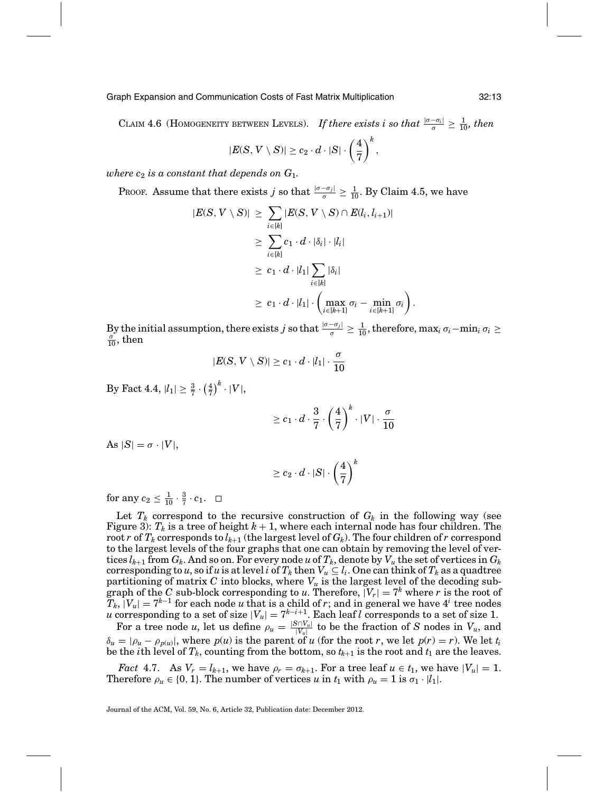CLAIM 4.6 (HOMOGENEITY BETWEEN LEVELS). *If there exists i so that*  $\frac{|\sigma - \sigma_i|}{\sigma} \geq \frac{1}{10}$ , then

$$
|E(S, V \setminus S)| \geq c_2 \cdot d \cdot |S| \cdot \left(\frac{4}{7}\right)^k,
$$

 $where c<sub>2</sub> is a constant that depends on  $G_1$ .$ 

PROOF. Assume that there exists *j* so that  $\frac{|\sigma - \sigma_j|}{\sigma} \geq \frac{1}{10}$ . By Claim 4.5, we have

$$
|E(S, V \setminus S)| \geq \sum_{i \in [k]} |E(S, V \setminus S) \cap E(l_i, l_{i+1})|
$$
  
\n
$$
\geq \sum_{i \in [k]} c_1 \cdot d \cdot |\delta_i| \cdot |l_i|
$$
  
\n
$$
\geq c_1 \cdot d \cdot |l_1| \sum_{i \in [k]} |\delta_i|
$$
  
\n
$$
\geq c_1 \cdot d \cdot |l_1| \cdot \left( \max_{i \in [k+1]} \sigma_i - \min_{i \in [k+1]} \sigma_i \right).
$$

By the initial assumption, there exists *j* so that  $\frac{|\sigma-\sigma_j|}{\sigma} \geq \frac{1}{10}$ , therefore, max<sub>*i*</sub>  $\sigma_i - \min_i \sigma_i \geq \frac{\sigma}{\sigma}$  $\frac{\sigma}{10}$ , then

$$
|E(S, V \setminus S)| \geq c_1 \cdot d \cdot |l_1| \cdot \frac{\sigma}{10}
$$

By Fact 4.4,  $|l_1| \ge \frac{3}{7} \cdot \left(\frac{4}{7}\right)^k \cdot |V|$ ,

$$
\geq c_1 \cdot d \cdot \frac{3}{7} \cdot \left(\frac{4}{7}\right)^k \cdot |V| \cdot \frac{\sigma}{10}
$$

As  $|S| = \sigma \cdot |V|$ ,

$$
\geq c_2 \cdot d \cdot |S| \cdot \left(\frac{4}{7}\right)^k
$$

for any  $c_2 \leq \frac{1}{10} \cdot \frac{3}{7} \cdot c_1$ .

Let  $T_k$  correspond to the recursive construction of  $G_k$  in the following way (see Figure 3):  $T_k$  is a tree of height  $k+1$ , where each internal node has four children. The root *r* of  $T_k$  corresponds to  $l_{k+1}$  (the largest level of  $G_k$ ). The four children of *r* correspond to the largest levels of the four graphs that one can obtain by removing the level of vertices  $l_{k+1}$  from  $G_k$ . And so on. For every node u of  $T_k$ , denote by  $V_u$  the set of vertices in  $G_k$ corresponding to *u*, so if *u* is at level *i* of  $T_k$  then  $V_u \subseteq l_i$ . One can think of  $T_k$  as a quadtree partitioning of matrix *C* into blocks, where *Vu* is the largest level of the decoding subgraph of the *C* sub-block corresponding to *u*. Therefore,  $|V_r| = 7^k$  where *r* is the root of  $T_k, \lceil V_u \rceil = 7^{k-1}$  for each node  $u$  that is a child of  $r;$  and in general we have  $4^i$  tree nodes *u* corresponding to a set of size  $|V_u| = 7^{k-i+1}$ . Each leaf *l* corresponds to a set of size 1.

For a tree node *u*, let us define  $\rho_u = \frac{|S \cap V_u|}{|V_u|}$  to be the fraction of *S* nodes in  $V_u$ , and  $\delta_u = |\rho_u - \rho_{p(u)}|$ , where  $p(u)$  is the parent of *u* (for the root *r*, we let  $p(r) = r$ ). We let  $t_i$ be the *i*th level of  $T_k$ , counting from the bottom, so  $t_{k+1}$  is the root and  $t_1$  are the leaves.

*Fact* 4.7. As  $V_r = l_{k+1}$ , we have  $\rho_r = \sigma_{k+1}$ . For a tree leaf  $u \in t_1$ , we have  $|V_u| = 1$ . Therefore  $\rho_u \in \{0, 1\}$ . The number of vertices *u* in  $t_1$  with  $\rho_u = 1$  is  $\sigma_1 \cdot |l_1|$ .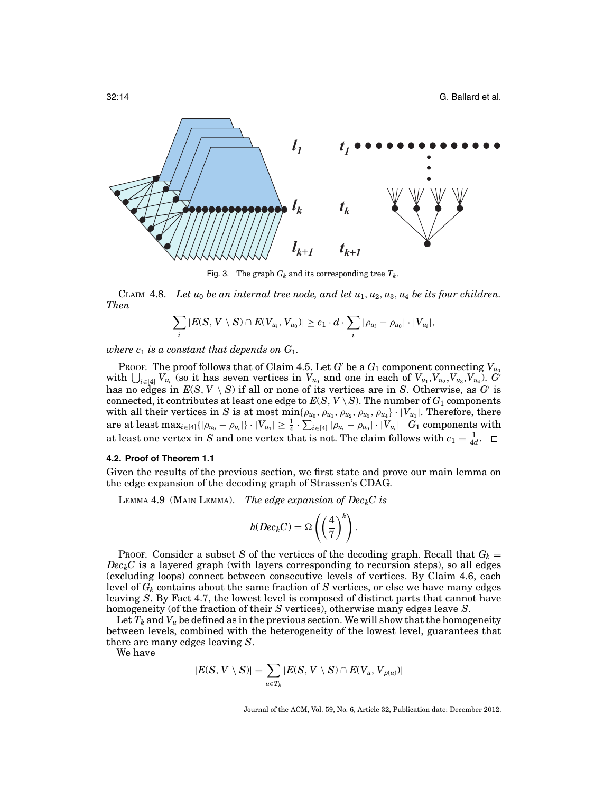32:14 G. Ballard et al.



Fig. 3. The graph  $G_k$  and its corresponding tree  $T_k$ .

CLAIM 4.8. Let  $u_0$  be an internal tree node, and let  $u_1, u_2, u_3, u_4$  be its four children. *Then*

$$
\sum_i |E(S, V \setminus S) \cap E(V_{u_i}, V_{u_0})| \geq c_1 \cdot d \cdot \sum_i |\rho_{u_i} - \rho_{u_0}| \cdot |V_{u_i}|,
$$

*where*  $c_1$  *is a constant that depends on*  $G_1$ *.* 

PROOF. The proof follows that of Claim 4.5. Let *G* be a  $G_1$  component connecting  $V_{u_0}$ with  $\bigcup_{i\in[4]} V_{u_i}$  (so it has seven vertices in  $V_{u_0}$  and one in each of  $V_{u_1}, V_{u_2}, V_{u_3}, V_{u_4}$ ).  $G'$ has no edges in  $E(S, V \setminus S)$  if all or none of its vertices are in *S*. Otherwise, as *G* is connected, it contributes at least one edge to  $E(S, V \setminus S)$ . The number of  $G_1$  components with all their vertices in *S* is at most min $\{\rho_{u_0}, \rho_{u_1}, \rho_{u_2}, \rho_{u_3}, \rho_{u_4}\}\cdot |V_{u_1}|$ . Therefore, there  $\text{area of least } \max_{i \in [4]}\{|\rho_{u_0} - \rho_{u_i}|\} \cdot |V_{u_1}| \geq \frac{1}{4} \cdot \sum_{i \in [4]} |\rho_{u_i} - \rho_{u_0}| \cdot |V_{u_i}|$   $G_1 \text{ components with }$ at least one vertex in *S* and one vertex that is not. The claim follows with  $c_1 = \frac{1}{4d}$ .

#### **4.2. Proof of Theorem 1.1**

Given the results of the previous section, we first state and prove our main lemma on the edge expansion of the decoding graph of Strassen's CDAG.

LEMMA 4.9 (MAIN LEMMA). *The edge expansion of Dec<sub>k</sub>C is* 

$$
h(Dec_kC) = \Omega\left(\left(\frac{4}{7}\right)^k\right).
$$

Proof. Consider a subset *S* of the vertices of the decoding graph. Recall that  $G_k =$  $Dec_kC$  is a layered graph (with layers corresponding to recursion steps), so all edges (excluding loops) connect between consecutive levels of vertices. By Claim 4.6, each level of  $G_k$  contains about the same fraction of  $S$  vertices, or else we have many edges leaving *S*. By Fact 4.7, the lowest level is composed of distinct parts that cannot have homogeneity (of the fraction of their *S* vertices), otherwise many edges leave *S*.

Let  $T_k$  and  $V_u$  be defined as in the previous section. We will show that the homogeneity between levels, combined with the heterogeneity of the lowest level, guarantees that there are many edges leaving *S*.

We have

$$
|E(S, V \setminus S)| = \sum_{u \in T_k} |E(S, V \setminus S) \cap E(V_u, V_{p(u)})|
$$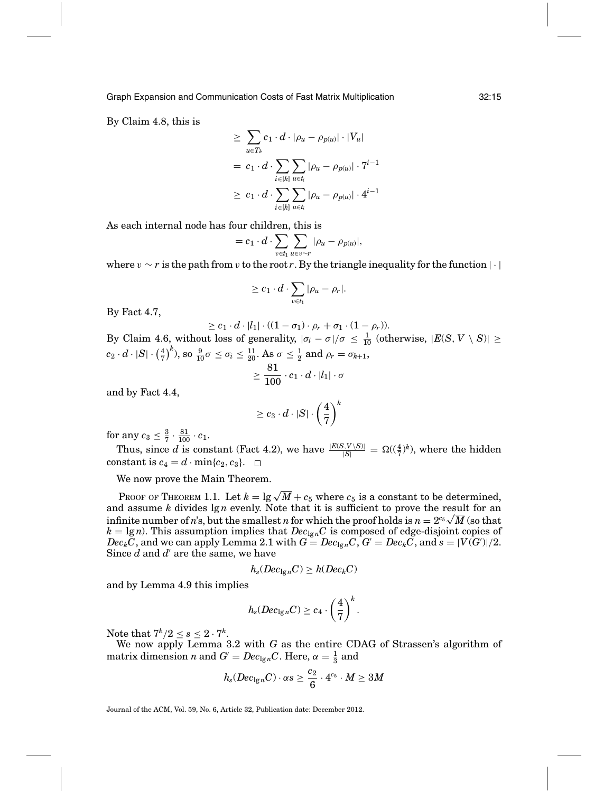By Claim 4.8, this is

$$
\geq \sum_{u \in T_k} c_1 \cdot d \cdot |\rho_u - \rho_{p(u)}| \cdot |V_u|
$$
  
=  $c_1 \cdot d \cdot \sum_{i \in [k]} \sum_{u \in t_i} |\rho_u - \rho_{p(u)}| \cdot 7^{i-1}$   

$$
\geq c_1 \cdot d \cdot \sum_{i \in [k]} \sum_{u \in t_i} |\rho_u - \rho_{p(u)}| \cdot 4^{i-1}
$$

As each internal node has four children, this is

$$
=c_1\cdot d\cdot \sum_{v\in t_1}\sum_{u\in v\sim r}|\rho_u-\rho_{p(u)}|,
$$

where  $v \sim r$  is the path from v to the root *r*. By the triangle inequality for the function |·|

$$
\geq c_1 \cdot d \cdot \sum_{v \in t_1} |\rho_u - \rho_r|.
$$

By Fact 4.7,

$$
\geq c_1 \cdot d \cdot |l_1| \cdot ((1 - \sigma_1) \cdot \rho_r + \sigma_1 \cdot (1 - \rho_r)).
$$

By Claim 4.6, without loss of generality,  $|\sigma_i - \sigma|/\sigma \leq \frac{1}{10}$  (otherwise,  $|E(S, V \setminus S)| \geq$  $c_2 \cdot d \cdot |S| \cdot \left(\frac{4}{7}\right)^k$ , so  $\frac{9}{10}\sigma \leq \sigma_i \leq \frac{11}{20}$ . As  $\sigma \leq \frac{1}{2}$  and  $\rho_r = \sigma_{k+1}$ ,

$$
\geq \frac{81}{100} \cdot c_1 \cdot d \cdot |l_1| \cdot \sigma
$$

and by Fact 4.4,

$$
\geq c_3 \cdot d \cdot |S| \cdot \left(\frac{4}{7}\right)^k
$$

for any  $c_3 \leq \frac{3}{7} \cdot \frac{81}{100} \cdot c_1$ .

Thus, since *d* is constant (Fact 4.2), we have  $\frac{|E(S, V \setminus S)|}{|S|} = \Omega((\frac{4}{7})^k)$ , where the hidden constant is  $c_4 = d \cdot \min\{c_2, c_3\}.$ 

We now prove the Main Theorem.

PROOF OF THEOREM 1.1. Let  $k = \lg \sqrt{M} + c_5$  where  $c_5$  is a constant to be determined, and assume *k* divides lg *n* evenly. Note that it is sufficient to prove the result for an and assume *n* divides 1g*n* eventy. Note that it is sufficient to prove the result for an infinite number of *n*'s, but the smallest *n* for which the proof holds is  $n = 2^{c_5} \sqrt{M}$  (so that  $k = \lg n$ . This assumption implies that  $Dec_{\lg n}C$  is composed of edge-disjoint copies of  $Dec_k\bar{C}$  , and we can apply Lemma 2.1 with  $G = Dec_{\lg n}C$  ,  $G' = Dec_k\bar{C}$  , and  $s = |V(G')|/2$ . Since *d* and *d'* are the same, we have

$$
h_s(Dec_{\lg n}C) \ge h(Dec_kC)
$$

and by Lemma 4.9 this implies

$$
h_s(Dec_{\lg n}C)\geq c_4\cdot\left(\frac{4}{7}\right)^k.
$$

Note that  $7^k/2 \leq s \leq 2 \cdot 7^k$ .

We now apply Lemma 3.2 with *G* as the entire CDAG of Strassen's algorithm of matrix dimension *n* and  $G' = Dec_{\lg n}C$ . Here,  $\alpha = \frac{1}{3}$  and

$$
h_{\mathrm{s}}(Dec_{\lg n}C)\cdot \alpha s \geq \frac{c_2}{6}\cdot 4^{c_5}\cdot M \geq 3M
$$

Journal of the ACM, Vol. 59, No. 6, Article 32, Publication date: December 2012.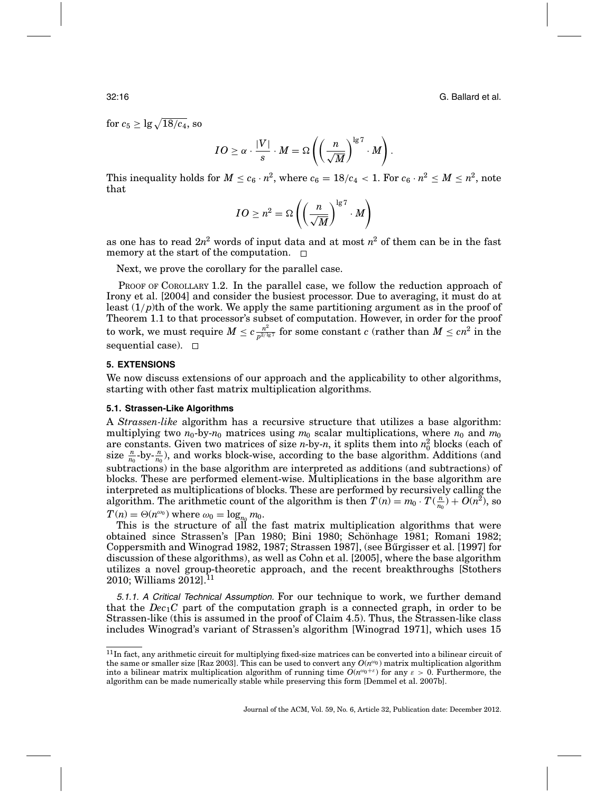32:16 G. Ballard et al.

for  $c_5 \ge \lg \sqrt{18/c_4},$  so

$$
IO \geq \alpha \cdot \frac{|V|}{s} \cdot M = \Omega \left( \left( \frac{n}{\sqrt{M}} \right)^{\lg 7} \cdot M \right).
$$

This inequality holds for  $M \leq c_6 \cdot n^2$ , where  $c_6 = 18/c_4 < 1$ . For  $c_6 \cdot n^2 \leq M \leq n^2$ , note that

$$
IO \geq n^2 = \Omega \left( \left( \frac{n}{\sqrt{M}} \right)^{\lg 7} \cdot M \right)
$$

as one has to read  $2n^2$  words of input data and at most  $n^2$  of them can be in the fast memory at the start of the computation.  $\Box$ 

Next, we prove the corollary for the parallel case.

PROOF OF COROLLARY 1.2. In the parallel case, we follow the reduction approach of Irony et al. [2004] and consider the busiest processor. Due to averaging, it must do at least  $(1/p)$ th of the work. We apply the same partitioning argument as in the proof of Theorem 1.1 to that processor's subset of computation. However, in order for the proof  ${\rm to \ work},$  we must require  $M \leq c \frac{n^2}{p^{2/ \lg 7}}$  for some constant  $c$  (rather than  $M \leq c n^2$  in the sequential case).  $\square$ 

### **5. EXTENSIONS**

We now discuss extensions of our approach and the applicability to other algorithms, starting with other fast matrix multiplication algorithms.

# **5.1. Strassen-Like Algorithms**

A *Strassen-like* algorithm has a recursive structure that utilizes a base algorithm: multiplying two  $n_0$ -by- $n_0$  matrices using  $m_0$  scalar multiplications, where  $n_0$  and  $m_0$ are constants. Given two matrices of size *n*-by-*n*, it splits them into  $n_0^2$  blocks (each of size  $\frac{n}{n_0}$ -by- $\frac{n}{n_0}$ ), and works block-wise, according to the base algorithm. Additions (and subtractions) in the base algorithm are interpreted as additions (and subtractions) of blocks. These are performed element-wise. Multiplications in the base algorithm are interpreted as multiplications of blocks. These are performed by recursively calling the algorithm. The arithmetic count of the algorithm is then  $T(n) = m_0 \cdot T(\frac{n}{n_0}) + O(n^2)$ , so  $T(n) = \Theta(n^{\omega_0})$  where  $\omega_0 = \log_{n_0} m_0$ .

This is the structure of all the fast matrix multiplication algorithms that were obtained since Strassen's [Pan 1980; Bini 1980; Schonhage 1981; Romani 1982; ¨ Coppersmith and Winograd 1982, 1987; Strassen 1987], (see Bűrgisser et al. [1997] for discussion of these algorithms), as well as Cohn et al. [2005], where the base algorithm utilizes a novel group-theoretic approach, and the recent breakthroughs [Stothers  $2010$ ; Williams  $2012$ ].<sup>11</sup>

5.1.1. <sup>A</sup> Critical Technical Assumption. For our technique to work, we further demand that the  $Dec_1C$  part of the computation graph is a connected graph, in order to be Strassen-like (this is assumed in the proof of Claim 4.5). Thus, the Strassen-like class includes Winograd's variant of Strassen's algorithm [Winograd 1971], which uses 15

 $11$ In fact, any arithmetic circuit for multiplying fixed-size matrices can be converted into a bilinear circuit of the same or smaller size [Raz 2003]. This can be used to convert any  $O(n^{\omega_0})$  matrix multiplication algorithm into a bilinear matrix multiplication algorithm of running time  $O(n^{\omega_0+\varepsilon})$  for any  $\varepsilon > 0$ . Furthermore, the algorithm can be made numerically stable while preserving this form [Demmel et al. 2007b].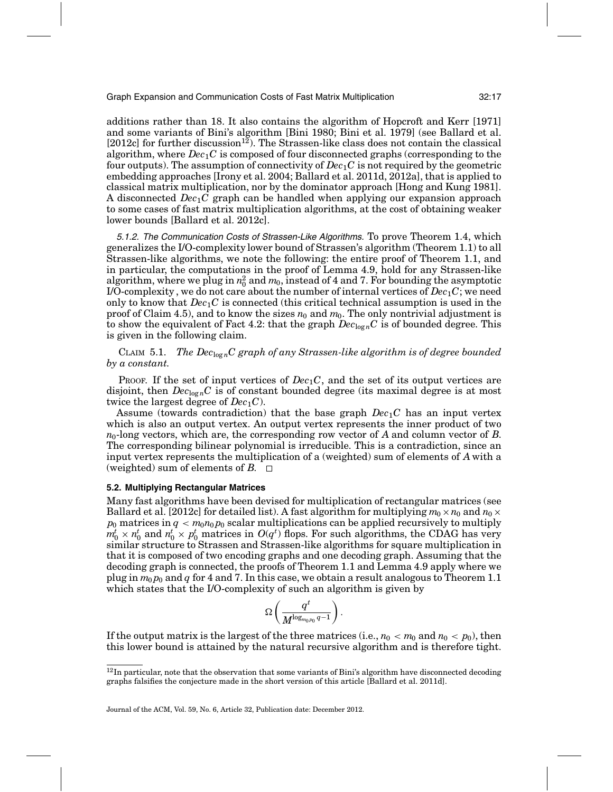additions rather than 18. It also contains the algorithm of Hopcroft and Kerr [1971] and some variants of Bini's algorithm [Bini 1980; Bini et al. 1979] (see Ballard et al.  $[2012c]$  for further discussion<sup>12</sup>). The Strassen-like class does not contain the classical algorithm, where *Dec*1*C* is composed of four disconnected graphs (corresponding to the four outputs). The assumption of connectivity of *Dec*1*C* is not required by the geometric embedding approaches [Irony et al. 2004; Ballard et al. 2011d, 2012a], that is applied to classical matrix multiplication, nor by the dominator approach [Hong and Kung 1981]. A disconnected *Dec*1*C* graph can be handled when applying our expansion approach to some cases of fast matrix multiplication algorithms, at the cost of obtaining weaker lower bounds [Ballard et al. 2012c].

5.1.2. The Communication Costs of Strassen-Like Algorithms. To prove Theorem 1.4, which generalizes the I/O-complexity lower bound of Strassen's algorithm (Theorem 1.1) to all Strassen-like algorithms, we note the following: the entire proof of Theorem 1.1, and in particular, the computations in the proof of Lemma 4.9, hold for any Strassen-like algorithm, where we plug in  $n_0^2$  and  $m_0$ , instead of 4 and 7. For bounding the asymptotic I/O-complexity , we do not care about the number of internal vertices of *Dec*1*C*; we need only to know that  $Dec<sub>1</sub>C$  is connected (this critical technical assumption is used in the proof of Claim 4.5), and to know the sizes  $n_0$  and  $m_0$ . The only nontrivial adjustment is to show the equivalent of Fact 4.2: that the graph  $Dec_{log n}C$  is of bounded degree. This is given in the following claim.

CLAIM 5.1. *The Dec*<sub>logn</sub>C graph of any Strassen-like algorithm is of degree bounded *by a constant.*

PROOF. If the set of input vertices of  $Dec_1C$ , and the set of its output vertices are disjoint, then  $Dec_{log n}C$  is of constant bounded degree (its maximal degree is at most twice the largest degree of  $Dec_1C$ .

Assume (towards contradiction) that the base graph *Dec*1*C* has an input vertex which is also an output vertex. An output vertex represents the inner product of two *n*0-long vectors, which are, the corresponding row vector of *A* and column vector of *B*. The corresponding bilinear polynomial is irreducible. This is a contradiction, since an input vertex represents the multiplication of a (weighted) sum of elements of *A* with a (weighted) sum of elements of  $B$ .  $\Box$ 

# **5.2. Multiplying Rectangular Matrices**

Many fast algorithms have been devised for multiplication of rectangular matrices (see Ballard et al. [2012c] for detailed list). A fast algorithm for multiplying  $m_0 \times n_0$  and  $n_0 \times$  $p_0$  matrices in  $q < m_0 n_0 p_0$  scalar multiplications can be applied recursively to multiply  $m_0^t \times n_0^t$  and  $n_0^t \times p_0^t$  matrices in  $O(q^t)$  flops. For such algorithms, the CDAG has very similar structure to Strassen and Strassen-like algorithms for square multiplication in that it is composed of two encoding graphs and one decoding graph. Assuming that the decoding graph is connected, the proofs of Theorem 1.1 and Lemma 4.9 apply where we plug in  $m_0 p_0$  and q for 4 and 7. In this case, we obtain a result analogous to Theorem 1.1 which states that the I/O-complexity of such an algorithm is given by

$$
\Omega\left(\frac{q^t}{M^{\log_{m_0 p_0} q-1}}\right).
$$

If the output matrix is the largest of the three matrices (i.e.,  $n_0 < m_0$  and  $n_0 < p_0$ ), then this lower bound is attained by the natural recursive algorithm and is therefore tight.

 $12$ In particular, note that the observation that some variants of Bini's algorithm have disconnected decoding graphs falsifies the conjecture made in the short version of this article [Ballard et al. 2011d].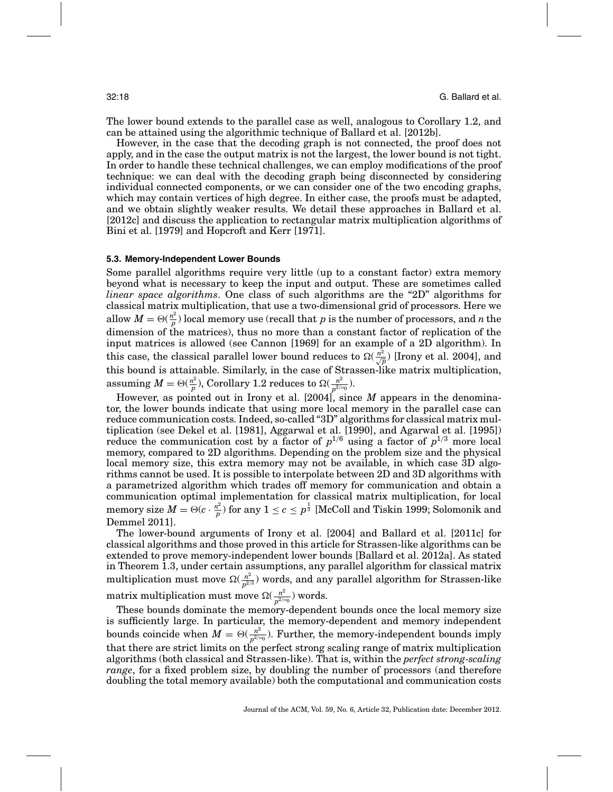The lower bound extends to the parallel case as well, analogous to Corollary 1.2, and can be attained using the algorithmic technique of Ballard et al. [2012b].

However, in the case that the decoding graph is not connected, the proof does not apply, and in the case the output matrix is not the largest, the lower bound is not tight. In order to handle these technical challenges, we can employ modifications of the proof technique: we can deal with the decoding graph being disconnected by considering individual connected components, or we can consider one of the two encoding graphs, which may contain vertices of high degree. In either case, the proofs must be adapted, and we obtain slightly weaker results. We detail these approaches in Ballard et al. [2012c] and discuss the application to rectangular matrix multiplication algorithms of Bini et al. [1979] and Hopcroft and Kerr [1971].

### **5.3. Memory-Independent Lower Bounds**

Some parallel algorithms require very little (up to a constant factor) extra memory beyond what is necessary to keep the input and output. These are sometimes called *linear space algorithms*. One class of such algorithms are the "2D" algorithms for classical matrix multiplication, that use a two-dimensional grid of processors. Here we allow  $M = \Theta(\frac{n^2}{p})$  local memory use (recall that *p* is the number of processors, and *n* the dimension of the matrices), thus no more than a constant factor of replication of the input matrices is allowed (see Cannon [1969] for an example of a 2D algorithm). In this case, the classical parallel lower bound reduces to  $\Omega(\frac{n^2}{\sqrt{p}})$  [Irony et al. 2004], and this bound is attainable. Similarly, in the case of Strassen-like matrix multiplication,  $\text{assuming } M = \Theta(\frac{n^2}{p}), \text{Corollary 1.2 reduces to } \Omega(\frac{n^2}{p^{2/w_0}}).$ 

However, as pointed out in Irony et al. [2004], since *M* appears in the denominator, the lower bounds indicate that using more local memory in the parallel case can reduce communication costs. Indeed, so-called "3D" algorithms for classical matrix multiplication (see Dekel et al. [1981], Aggarwal et al. [1990], and Agarwal et al. [1995]) reduce the communication cost by a factor of  $p^{1/6}$  using a factor of  $p^{1/3}$  more local memory, compared to 2D algorithms. Depending on the problem size and the physical local memory size, this extra memory may not be available, in which case 3D algorithms cannot be used. It is possible to interpolate between 2D and 3D algorithms with a parametrized algorithm which trades off memory for communication and obtain a communication optimal implementation for classical matrix multiplication, for local memory size  $M = \Theta(c\cdot \frac{n^2}{p})$  for any  $1\leq c\leq p^{\frac{1}{3}}$  [McColl and Tiskin 1999; Solomonik and Demmel 2011].

The lower-bound arguments of Irony et al. [2004] and Ballard et al. [2011c] for classical algorithms and those proved in this article for Strassen-like algorithms can be extended to prove memory-independent lower bounds [Ballard et al. 2012a]. As stated in Theorem 1.3, under certain assumptions, any parallel algorithm for classical matrix multiplication must move  $\Omega(\frac{n^2}{p^{2/3}})$  words, and any parallel algorithm for Strassen-like  $\text{matrix multiplication must move } \Omega(\frac{n^2}{p^{2/\omega_0}}) \text{ words.}$ 

These bounds dominate the memory-dependent bounds once the local memory size is sufficiently large. In particular, the memory-dependent and memory independent bounds coincide when  $M = \Theta(\frac{n^2}{p^{2/w_0}})$ . Further, the memory-independent bounds imply that there are strict limits on the perfect strong scaling range of matrix multiplication algorithms (both classical and Strassen-like). That is, within the *perfect strong-scaling range*, for a fixed problem size, by doubling the number of processors (and therefore doubling the total memory available) both the computational and communication costs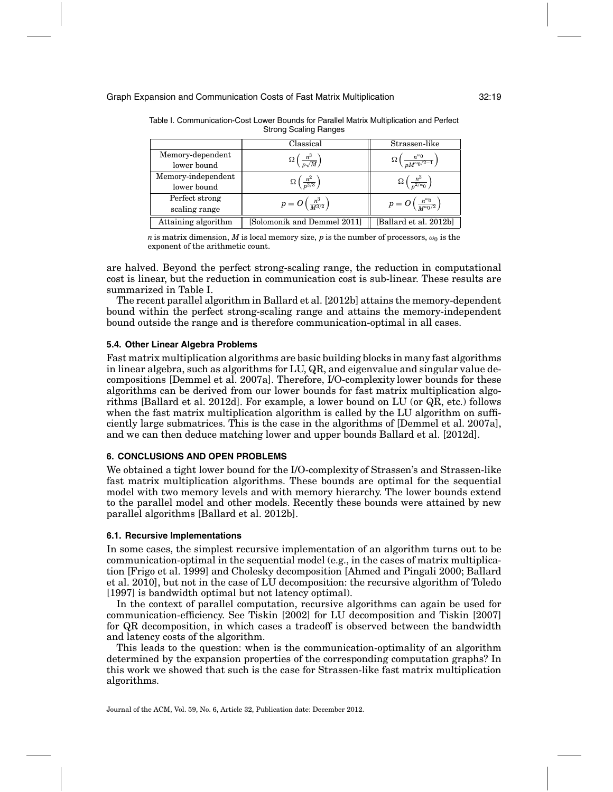|                     | Classical                                  | Strassen-like                                               |
|---------------------|--------------------------------------------|-------------------------------------------------------------|
| Memory-dependent    | $\Omega\left(\frac{n^3}{n\sqrt{M}}\right)$ |                                                             |
| lower bound         |                                            | $\Omega\left(\frac{n^{\omega_0}}{nM^{\omega_0/2-1}}\right)$ |
| Memory-independent  | $\Omega\left(\frac{n^2}{n^{2/3}}\right)$   | $\Omega\left(\frac{n^2}{n^{2/\omega_0}}\right)$             |
| lower bound         |                                            |                                                             |
| Perfect strong      | $p=O\left(\frac{n^3}{M^{3/2}}\right)$      |                                                             |
| scaling range       |                                            | $p=O\left(\frac{n^{\omega_0}}{M^{\omega_0/2}}\right)$       |
| Attaining algorithm | [Solomonik and Demmel 2011]                | [Ballard et al. 2012b]                                      |

Table I. Communication-Cost Lower Bounds for Parallel Matrix Multiplication and Perfect Strong Scaling Ranges

*n* is matrix dimension, *M* is local memory size, *p* is the number of processors,  $\omega_0$  is the exponent of the arithmetic count.

are halved. Beyond the perfect strong-scaling range, the reduction in computational cost is linear, but the reduction in communication cost is sub-linear. These results are summarized in Table I.

The recent parallel algorithm in Ballard et al. [2012b] attains the memory-dependent bound within the perfect strong-scaling range and attains the memory-independent bound outside the range and is therefore communication-optimal in all cases.

# **5.4. Other Linear Algebra Problems**

Fast matrix multiplication algorithms are basic building blocks in many fast algorithms in linear algebra, such as algorithms for LU, QR, and eigenvalue and singular value decompositions [Demmel et al. 2007a]. Therefore, I/O-complexity lower bounds for these algorithms can be derived from our lower bounds for fast matrix multiplication algorithms [Ballard et al. 2012d]. For example, a lower bound on LU (or QR, etc.) follows when the fast matrix multiplication algorithm is called by the LU algorithm on sufficiently large submatrices. This is the case in the algorithms of [Demmel et al. 2007a], and we can then deduce matching lower and upper bounds Ballard et al. [2012d].

# **6. CONCLUSIONS AND OPEN PROBLEMS**

We obtained a tight lower bound for the I/O-complexity of Strassen's and Strassen-like fast matrix multiplication algorithms. These bounds are optimal for the sequential model with two memory levels and with memory hierarchy. The lower bounds extend to the parallel model and other models. Recently these bounds were attained by new parallel algorithms [Ballard et al. 2012b].

# **6.1. Recursive Implementations**

In some cases, the simplest recursive implementation of an algorithm turns out to be communication-optimal in the sequential model (e.g., in the cases of matrix multiplication [Frigo et al. 1999] and Cholesky decomposition [Ahmed and Pingali 2000; Ballard et al. 2010], but not in the case of LU decomposition: the recursive algorithm of Toledo [1997] is bandwidth optimal but not latency optimal).

In the context of parallel computation, recursive algorithms can again be used for communication-efficiency. See Tiskin [2002] for LU decomposition and Tiskin [2007] for QR decomposition, in which cases a tradeoff is observed between the bandwidth and latency costs of the algorithm.

This leads to the question: when is the communication-optimality of an algorithm determined by the expansion properties of the corresponding computation graphs? In this work we showed that such is the case for Strassen-like fast matrix multiplication algorithms.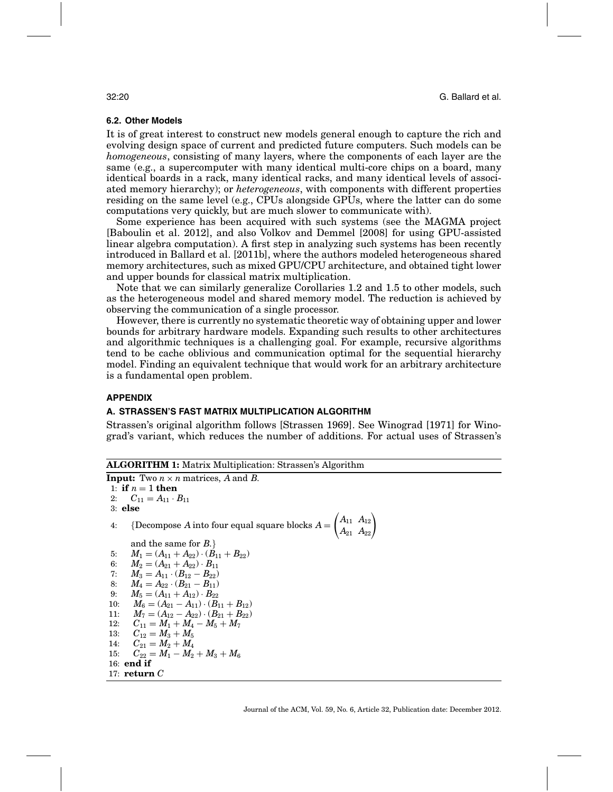# **6.2. Other Models**

It is of great interest to construct new models general enough to capture the rich and evolving design space of current and predicted future computers. Such models can be *homogeneous*, consisting of many layers, where the components of each layer are the same (e.g., a supercomputer with many identical multi-core chips on a board, many identical boards in a rack, many identical racks, and many identical levels of associated memory hierarchy); or *heterogeneous*, with components with different properties residing on the same level (e.g., CPUs alongside GPUs, where the latter can do some computations very quickly, but are much slower to communicate with).

Some experience has been acquired with such systems (see the MAGMA project [Baboulin et al. 2012], and also Volkov and Demmel [2008] for using GPU-assisted linear algebra computation). A first step in analyzing such systems has been recently introduced in Ballard et al. [2011b], where the authors modeled heterogeneous shared memory architectures, such as mixed GPU/CPU architecture, and obtained tight lower and upper bounds for classical matrix multiplication.

Note that we can similarly generalize Corollaries 1.2 and 1.5 to other models, such as the heterogeneous model and shared memory model. The reduction is achieved by observing the communication of a single processor.

However, there is currently no systematic theoretic way of obtaining upper and lower bounds for arbitrary hardware models. Expanding such results to other architectures and algorithmic techniques is a challenging goal. For example, recursive algorithms tend to be cache oblivious and communication optimal for the sequential hierarchy model. Finding an equivalent technique that would work for an arbitrary architecture is a fundamental open problem.

# **APPENDIX**

# **A. STRASSEN'S FAST MATRIX MULTIPLICATION ALGORITHM**

Strassen's original algorithm follows [Strassen 1969]. See Winograd [1971] for Winograd's variant, which reduces the number of additions. For actual uses of Strassen's

**ALGORITHM 1:** Matrix Multiplication: Strassen's Algorithm

```
Input: Two n \times n matrices, A and B.
 1: if n = 1 then
 2: C_{11} = A_{11} \cdot B_{11}3: else
 4: {Decompose A into four equal square blocks A =\begin{pmatrix} A_{11} & A_{12} \\ A_{21} & A_{22} \end{pmatrix}and the same for B.}
 5: M_1 = (A_{11} + A_{22}) \cdot (B_{11} + B_{22})6: M_2 = (A_{21} + A_{22}) \cdot B_{11}<br>7: M_3 = A_{11} \cdot (B_{12} - B_{22})7: M_3 = A_{11} \cdot (B_{12} - B_{22})8: M_4 = A_{22} \cdot (B_{21} - B_{11})9: M_5 = (A_{11} + A_{12}) \cdot B_{22}10: M_6 = (A_{21} - A_{11}) \cdot (B_{11} + B_{12})11: M_7 = (A_{12} - A_{22}) \cdot (B_{21} + B_{22})12: C_{11} = M_1 + M_4 - M_5 + M_7<br>13: C_{12} = M_3 + M_5C_{12}= M_3 + M_514: C_{21} = M_2 + M_415: C_{22} = M_1 - M_2 + M_3 + M_616: end if
17: return C
```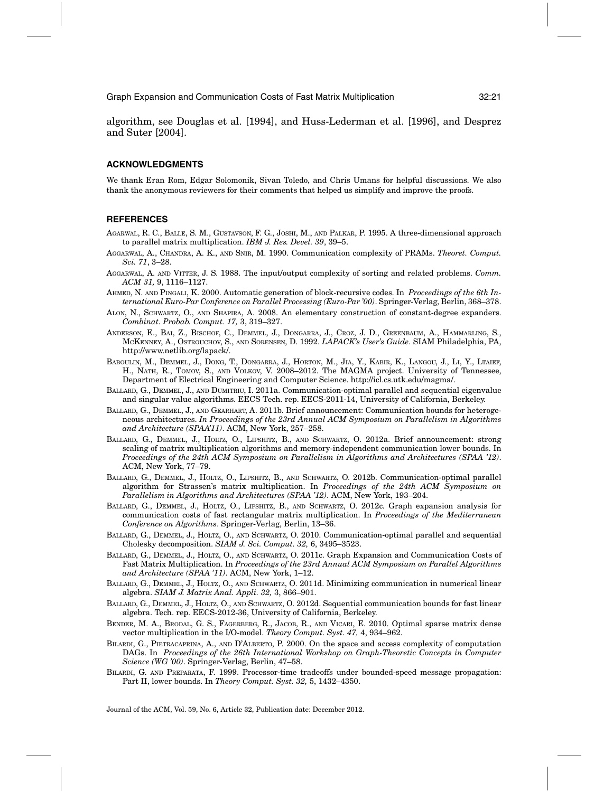algorithm, see Douglas et al. [1994], and Huss-Lederman et al. [1996], and Desprez and Suter [2004].

#### **ACKNOWLEDGMENTS**

We thank Eran Rom, Edgar Solomonik, Sivan Toledo, and Chris Umans for helpful discussions. We also thank the anonymous reviewers for their comments that helped us simplify and improve the proofs.

### **REFERENCES**

- AGARWAL, R. C., BALLE, S. M., GUSTAVSON, F. G., JOSHI, M., AND PALKAR, P. 1995. A three-dimensional approach to parallel matrix multiplication. *IBM J. Res. Devel. 39*, 39–5.
- AGGARWAL, A., CHANDRA, A. K., AND SNIR, M. 1990. Communication complexity of PRAMs. *Theoret. Comput. Sci. 71*, 3–28.
- AGGARWAL, A. AND VITTER, J. S. 1988. The input/output complexity of sorting and related problems. *Comm. ACM 31,* 9, 1116–1127.
- AHMED, N. AND PINGALI, K. 2000. Automatic generation of block-recursive codes. In *Proceedings of the 6th International Euro-Par Conference on Parallel Processing (Euro-Par '00)*. Springer-Verlag, Berlin, 368–378.
- ALON, N., SCHWARTZ, O., AND SHAPIRA, A. 2008. An elementary construction of constant-degree expanders. *Combinat. Probab. Comput. 17,* 3, 319–327.
- ANDERSON, E., BAI, Z., BISCHOF, C., DEMMEL, J., DONGARRA, J., CROZ, J. D., GREENBAUM, A., HAMMARLING, S., MCKENNEY, A., OSTROUCHOV, S., AND SORENSEN, D. 1992. *LAPACK's User's Guide*. SIAM Philadelphia, PA, http://www.netlib.org/lapack/.
- BABOULIN, M., DEMMEL, J., DONG, T., DONGARRA, J., HORTON, M., JIA, Y., KABIR, K., LANGOU, J., LI, Y., LTAIEF, H., NATH, R., TOMOV, S., AND VOLKOV, V. 2008–2012. The MAGMA project. University of Tennessee, Department of Electrical Engineering and Computer Science. http://icl.cs.utk.edu/magma/.
- BALLARD, G., DEMMEL, J., AND DUMITRIU, I. 2011a. Communication-optimal parallel and sequential eigenvalue and singular value algorithms. EECS Tech. rep. EECS-2011-14, University of California, Berkeley.
- BALLARD, G., DEMMEL, J., AND GEARHART, A. 2011b. Brief announcement: Communication bounds for heterogeneous architectures. *In Proceedings of the 23rd Annual ACM Symposium on Parallelism in Algorithms and Architecture (SPAA'11)*. ACM, New York, 257–258.
- BALLARD, G., DEMMEL, J., HOLTZ, O., LIPSHITZ, B., AND SCHWARTZ, O. 2012a. Brief announcement: strong scaling of matrix multiplication algorithms and memory-independent communication lower bounds. In *Proceedings of the 24th ACM Symposium on Parallelism in Algorithms and Architectures (SPAA '12)*. ACM, New York, 77–79.
- BALLARD, G., DEMMEL, J., HOLTZ, O., LIPSHITZ, B., AND SCHWARTZ, O. 2012b. Communication-optimal parallel algorithm for Strassen's matrix multiplication. In *Proceedings of the 24th ACM Symposium on Parallelism in Algorithms and Architectures (SPAA '12)*. ACM, New York, 193–204.
- BALLARD, G., DEMMEL, J., HOLTZ, O., LIPSHITZ, B., AND SCHWARTZ, O. 2012c. Graph expansion analysis for communication costs of fast rectangular matrix multiplication. In *Proceedings of the Mediterranean Conference on Algorithms*. Springer-Verlag, Berlin, 13–36.
- BALLARD, G., DEMMEL, J., HOLTZ, O., AND SCHWARTZ, O. 2010. Communication-optimal parallel and sequential Cholesky decomposition. *SIAM J. Sci. Comput. 32,* 6, 3495–3523.
- BALLARD, G., DEMMEL, J., HOLTZ, O., AND SCHWARTZ, O. 2011c. Graph Expansion and Communication Costs of Fast Matrix Multiplication. In *Proceedings of the 23rd Annual ACM Symposium on Parallel Algorithms and Architecture (SPAA '11)*. ACM, New York, 1–12.
- BALLARD, G., DEMMEL, J., HOLTZ, O., AND SCHWARTZ, O. 2011d. Minimizing communication in numerical linear algebra. *SIAM J. Matrix Anal. Appli. 32,* 3, 866–901.
- BALLARD, G., DEMMEL, J., HOLTZ, O., AND SCHWARTZ, O. 2012d. Sequential communication bounds for fast linear algebra. Tech. rep. EECS-2012-36, University of California, Berkeley.
- BENDER, M. A., BRODAL, G. S., FAGERBERG, R., JACOB, R., AND VICARI, E. 2010. Optimal sparse matrix dense vector multiplication in the I/O-model. *Theory Comput. Syst. 47,* 4, 934–962.
- BILARDI, G., PIETRACAPRINA, A., AND D'ALBERTO, P. 2000. On the space and access complexity of computation DAGs. In *Proceedings of the 26th International Workshop on Graph-Theoretic Concepts in Computer Science (WG '00)*. Springer-Verlag, Berlin, 47–58.
- BILARDI, G. AND PREPARATA, F. 1999. Processor-time tradeoffs under bounded-speed message propagation: Part II, lower bounds. In *Theory Comput. Syst. 32,* 5, 1432–4350.

Journal of the ACM, Vol. 59, No. 6, Article 32, Publication date: December 2012.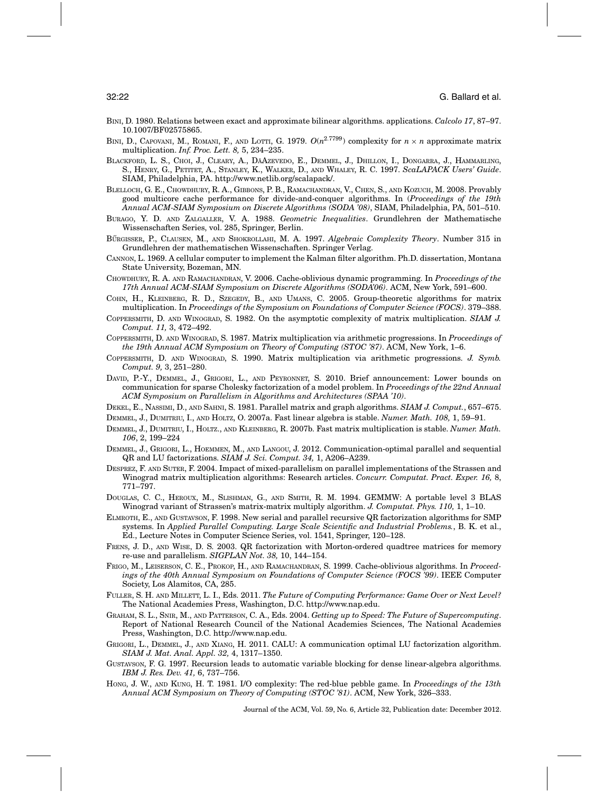- BINI, D. 1980. Relations between exact and approximate bilinear algorithms. applications. *Calcolo 17*, 87–97. 10.1007/BF02575865.
- BINI, D., CAPOVANI, M., ROMANI, F., AND LOTTI, G. 1979.  $O(n^{2.7799})$  complexity for  $n \times n$  approximate matrix multiplication. *Inf. Proc. Lett. 8,* 5, 234–235.
- BLACKFORD, L. S., CHOI, J., CLEARY, A., DÄAZEVEDO, E., DEMMEL, J., DHILLON, I., DONGARRA, J., HAMMARLING, S., HENRY, G., PETITET, A., STANLEY, K., WALKER, D., AND WHALEY, R. C. 1997. *ScaLAPACK Users' Guide*. SIAM, Philadelphia, PA. http://www.netlib.org/scalapack/.
- BLELLOCH, G. E., CHOWDHURY, R. A., GIBBONS, P. B., RAMACHANDRAN, V., CHEN, S., AND KOZUCH, M. 2008. Provably good multicore cache performance for divide-and-conquer algorithms. In (*Proceedings of the 19th Annual ACM-SIAM Symposium on Discrete Algorithms (SODA '08)*, SIAM, Philadelphia, PA, 501–510.
- BURAGO, Y. D. AND ZALGALLER, V. A. 1988. *Geometric Inequalities*. Grundlehren der Mathematische Wissenschaften Series, vol. 285, Springer, Berlin.
- BÜRGISSER, P., CLAUSEN, M., AND SHOKROLLAHI, M. A. 1997. *Algebraic Complexity Theory*. Number 315 in Grundlehren der mathematischen Wissenschaften. Springer Verlag.
- CANNON, L. 1969. A cellular computer to implement the Kalman filter algorithm. Ph.D. dissertation, Montana State University, Bozeman, MN.
- CHOWDHURY, R. A. AND RAMACHANDRAN, V. 2006. Cache-oblivious dynamic programming. In *Proceedings of the 17th Annual ACM-SIAM Symposium on Discrete Algorithms (SODA'06)*. ACM, New York, 591–600.
- COHN, H., KLEINBERG, R. D., SZEGEDY, B., AND UMANS, C. 2005. Group-theoretic algorithms for matrix multiplication. In *Proceedings of the Symposium on Foundations of Computer Science (FOCS)*. 379–388.
- COPPERSMITH, D. AND WINOGRAD, S. 1982. On the asymptotic complexity of matrix multiplication. *SIAM J. Comput. 11,* 3, 472–492.
- COPPERSMITH, D. AND WINOGRAD, S. 1987. Matrix multiplication via arithmetic progressions. In *Proceedings of the 19th Annual ACM Symposium on Theory of Computing (STOC '87)*. ACM, New York, 1–6.
- COPPERSMITH, D. AND WINOGRAD, S. 1990. Matrix multiplication via arithmetic progressions. *J. Symb. Comput. 9,* 3, 251–280.
- DAVID, P.-Y., DEMMEL, J., GRIGORI, L., AND PEYRONNET, S. 2010. Brief announcement: Lower bounds on communication for sparse Cholesky factorization of a model problem. In *Proceedings of the 22nd Annual ACM Symposium on Parallelism in Algorithms and Architectures (SPAA '10)*.
- DEKEL, E., NASSIMI, D., AND SAHNI, S. 1981. Parallel matrix and graph algorithms. *SIAM J. Comput.*, 657–675.
- DEMMEL, J., DUMITRIU, I., AND HOLTZ, O. 2007a. Fast linear algebra is stable. *Numer. Math. 108,* 1, 59–91.
- DEMMEL, J., DUMITRIU, I., HOLTZ., AND KLEINBERG, R. 2007b. Fast matrix multiplication is stable. *Numer. Math. 106*, 2, 199–224
- DEMMEL, J., GRIGORI, L., HOEMMEN, M., AND LANGOU, J. 2012. Communication-optimal parallel and sequential QR and LU factorizations. *SIAM J. Sci. Comput. 34,* 1, A206–A239.
- DESPREZ, F. AND SUTER, F. 2004. Impact of mixed-parallelism on parallel implementations of the Strassen and Winograd matrix multiplication algorithms: Research articles. *Concurr. Computat. Pract. Exper. 16,* 8, 771–797.
- DOUGLAS, C. C., HEROUX, M., SLISHMAN, G., AND SMITH, R. M. 1994. GEMMW: A portable level 3 BLAS Winograd variant of Strassen's matrix-matrix multiply algorithm. *J. Computat. Phys. 110,* 1, 1–10.
- ELMROTH, E., AND GUSTAVSON, F. 1998. New serial and parallel recursive QR factorization algorithms for SMP systems. In *Applied Parallel Computing. Large Scale Scientific and Industrial Problems.*, B. K. et al., Ed., Lecture Notes in Computer Science Series, vol. 1541, Springer, 120–128.
- FRENS, J. D., AND WISE, D. S. 2003. QR factorization with Morton-ordered quadtree matrices for memory re-use and parallelism. *SIGPLAN Not. 38,* 10, 144–154.
- FRIGO, M., LEISERSON, C. E., PROKOP, H., AND RAMACHANDRAN, S. 1999. Cache-oblivious algorithms. In *Proceedings of the 40th Annual Symposium on Foundations of Computer Science (FOCS '99)*. IEEE Computer Society, Los Alamitos, CA, 285.
- FULLER, S. H. AND MILLETT, L. I., Eds. 2011. *The Future of Computing Performance: Game Over or Next Level?* The National Academies Press, Washington, D.C. http://www.nap.edu.
- GRAHAM, S. L., SNIR, M., AND PATTERSON, C. A., Eds. 2004. *Getting up to Speed: The Future of Supercomputing*. Report of National Research Council of the National Academies Sciences, The National Academies Press, Washington, D.C. http://www.nap.edu.
- GRIGORI, L., DEMMEL, J., AND XIANG, H. 2011. CALU: A communication optimal LU factorization algorithm. *SIAM J. Mat. Anal. Appl. 32,* 4, 1317–1350.
- GUSTAVSON, F. G. 1997. Recursion leads to automatic variable blocking for dense linear-algebra algorithms. *IBM J. Res. Dev. 41,* 6, 737–756.
- HONG, J. W., AND KUNG, H. T. 1981. I/O complexity: The red-blue pebble game. In *Proceedings of the 13th Annual ACM Symposium on Theory of Computing (STOC '81)*. ACM, New York, 326–333.